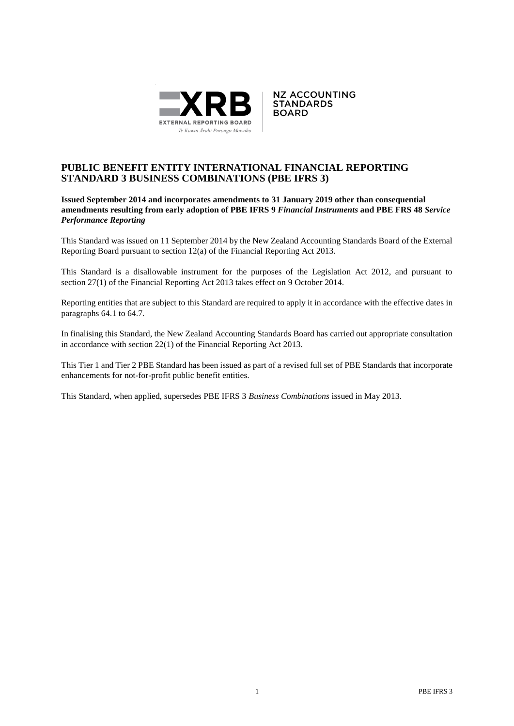



## **PUBLIC BENEFIT ENTITY INTERNATIONAL FINANCIAL REPORTING STANDARD 3 BUSINESS COMBINATIONS (PBE IFRS 3)**

## **Issued September 2014 and incorporates amendments to 31 January 2019 other than consequential amendments resulting from early adoption of PBE IFRS 9** *Financial Instruments* **and PBE FRS 48** *Service Performance Reporting*

This Standard was issued on 11 September 2014 by the New Zealand Accounting Standards Board of the External Reporting Board pursuant to section 12(a) of the Financial Reporting Act 2013.

This Standard is a disallowable instrument for the purposes of the Legislation Act 2012, and pursuant to section 27(1) of the Financial Reporting Act 2013 takes effect on 9 October 2014.

Reporting entities that are subject to this Standard are required to apply it in accordance with the effective dates in paragraphs 64.1 to 64.7.

In finalising this Standard, the New Zealand Accounting Standards Board has carried out appropriate consultation in accordance with section 22(1) of the Financial Reporting Act 2013.

This Tier 1 and Tier 2 PBE Standard has been issued as part of a revised full set of PBE Standards that incorporate enhancements for not-for-profit public benefit entities.

This Standard, when applied, supersedes PBE IFRS 3 *Business Combinations* issued in May 2013.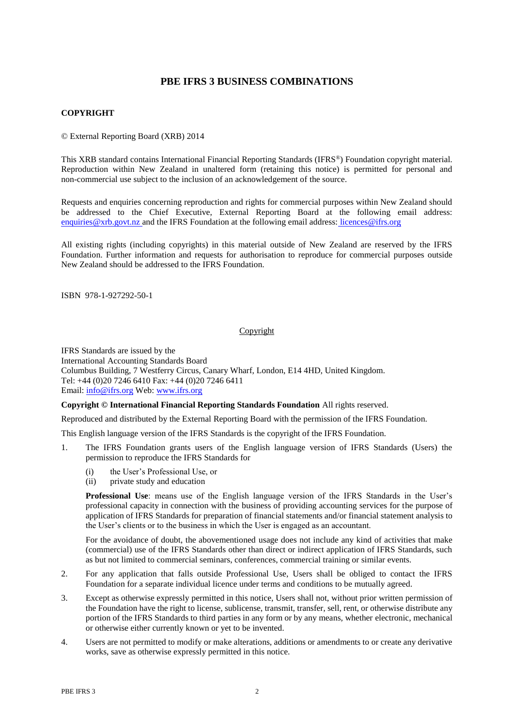## **PBE IFRS 3 BUSINESS COMBINATIONS**

## **COPYRIGHT**

© External Reporting Board (XRB) 2014

This XRB standard contains International Financial Reporting Standards (IFRS®) Foundation copyright material. Reproduction within New Zealand in unaltered form (retaining this notice) is permitted for personal and non-commercial use subject to the inclusion of an acknowledgement of the source.

Requests and enquiries concerning reproduction and rights for commercial purposes within New Zealand should be addressed to the Chief Executive, External Reporting Board at the following email address: [enquiries@xrb.govt.nz](mailto:enquiries@xrb.govt.nz) and the IFRS Foundation at the following email address: licences@ifrs.org

All existing rights (including copyrights) in this material outside of New Zealand are reserved by the IFRS Foundation. Further information and requests for authorisation to reproduce for commercial purposes outside New Zealand should be addressed to the IFRS Foundation.

ISBN 978-1-927292-50-1

## Copyright

IFRS Standards are issued by the International Accounting Standards Board Columbus Building, 7 Westferry Circus, Canary Wharf, London, E14 4HD, United Kingdom. Tel: +44 (0)20 7246 6410 Fax: +44 (0)20 7246 6411 Email: [info@ifrs.org](mailto:info@ifrs.org) Web: [www.ifrs.org](http://www.ifrs.org/)

**Copyright © International Financial Reporting Standards Foundation** All rights reserved.

Reproduced and distributed by the External Reporting Board with the permission of the IFRS Foundation.

This English language version of the IFRS Standards is the copyright of the IFRS Foundation.

- 1. The IFRS Foundation grants users of the English language version of IFRS Standards (Users) the permission to reproduce the IFRS Standards for
	- (i) the User's Professional Use, or
	- (ii) private study and education

**Professional Use**: means use of the English language version of the IFRS Standards in the User's professional capacity in connection with the business of providing accounting services for the purpose of application of IFRS Standards for preparation of financial statements and/or financial statement analysis to the User's clients or to the business in which the User is engaged as an accountant.

For the avoidance of doubt, the abovementioned usage does not include any kind of activities that make (commercial) use of the IFRS Standards other than direct or indirect application of IFRS Standards, such as but not limited to commercial seminars, conferences, commercial training or similar events.

- 2. For any application that falls outside Professional Use, Users shall be obliged to contact the IFRS Foundation for a separate individual licence under terms and conditions to be mutually agreed.
- 3. Except as otherwise expressly permitted in this notice, Users shall not, without prior written permission of the Foundation have the right to license, sublicense, transmit, transfer, sell, rent, or otherwise distribute any portion of the IFRS Standards to third parties in any form or by any means, whether electronic, mechanical or otherwise either currently known or yet to be invented.
- 4. Users are not permitted to modify or make alterations, additions or amendments to or create any derivative works, save as otherwise expressly permitted in this notice.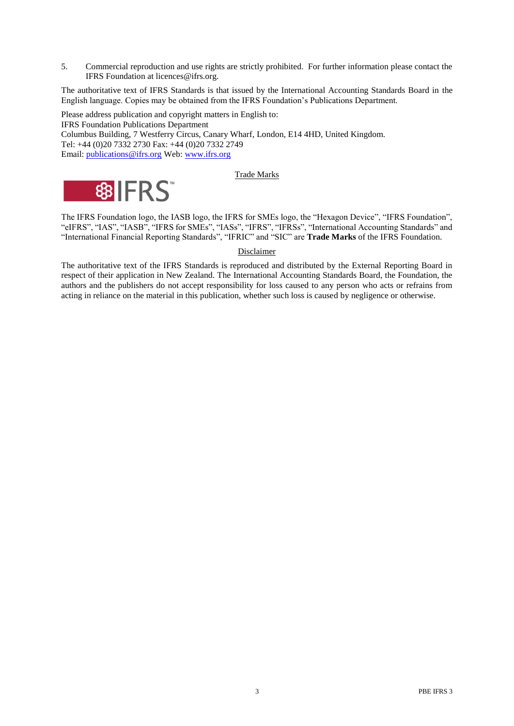5. Commercial reproduction and use rights are strictly prohibited. For further information please contact the IFRS Foundation at licences@ifrs.org.

The authoritative text of IFRS Standards is that issued by the International Accounting Standards Board in the English language. Copies may be obtained from the IFRS Foundation's Publications Department.

Please address publication and copyright matters in English to: IFRS Foundation Publications Department Columbus Building, 7 Westferry Circus, Canary Wharf, London, E14 4HD, United Kingdom. Tel: +44 (0)20 7332 2730 Fax: +44 (0)20 7332 2749 Email: [publications@ifrs.org](mailto:publications@ifrs.org) Web: [www.ifrs.org](http://www.ifrs.org/)

## Trade Marks



The IFRS Foundation logo, the IASB logo, the IFRS for SMEs logo, the "Hexagon Device", "IFRS Foundation", "eIFRS", "IAS", "IASB", "IFRS for SMEs", "IASs", "IFRS", "IFRSs", "International Accounting Standards" and "International Financial Reporting Standards", "IFRIC" and "SIC" are **Trade Marks** of the IFRS Foundation.

#### Disclaimer

The authoritative text of the IFRS Standards is reproduced and distributed by the External Reporting Board in respect of their application in New Zealand. The International Accounting Standards Board, the Foundation, the authors and the publishers do not accept responsibility for loss caused to any person who acts or refrains from acting in reliance on the material in this publication, whether such loss is caused by negligence or otherwise.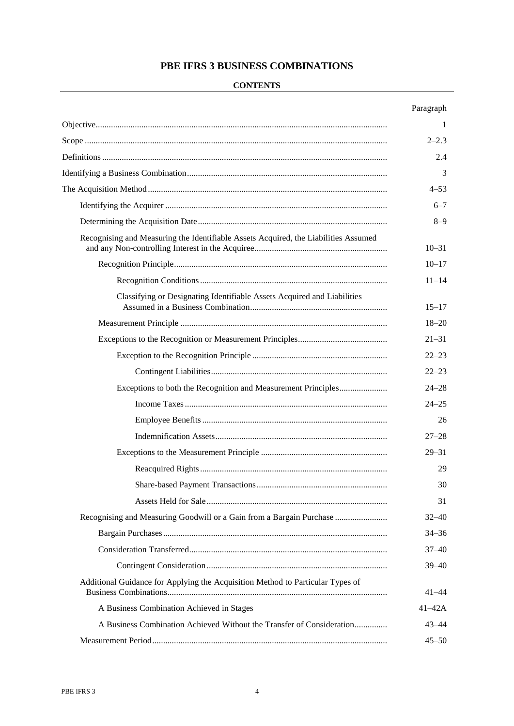# **PBE IFRS 3 BUSINESS COMBINATIONS**

## **CONTENTS**

|                                                                                     | Paragraph  |
|-------------------------------------------------------------------------------------|------------|
|                                                                                     | 1          |
|                                                                                     | $2 - 2.3$  |
|                                                                                     | 2.4        |
|                                                                                     | 3          |
|                                                                                     | $4 - 53$   |
|                                                                                     | $6 - 7$    |
|                                                                                     | $8 - 9$    |
| Recognising and Measuring the Identifiable Assets Acquired, the Liabilities Assumed | $10 - 31$  |
|                                                                                     | $10 - 17$  |
|                                                                                     | $11 - 14$  |
| Classifying or Designating Identifiable Assets Acquired and Liabilities             | $15 - 17$  |
|                                                                                     | $18 - 20$  |
|                                                                                     | $21 - 31$  |
|                                                                                     | $22 - 23$  |
|                                                                                     | $22 - 23$  |
| Exceptions to both the Recognition and Measurement Principles                       | $24 - 28$  |
|                                                                                     | $24 - 25$  |
|                                                                                     | 26         |
|                                                                                     | $27 - 28$  |
|                                                                                     | $29 - 31$  |
|                                                                                     | 29         |
|                                                                                     | 30         |
|                                                                                     | 31         |
| Recognising and Measuring Goodwill or a Gain from a Bargain Purchase                | $32 - 40$  |
|                                                                                     | $34 - 36$  |
|                                                                                     | $37 - 40$  |
|                                                                                     | $39 - 40$  |
| Additional Guidance for Applying the Acquisition Method to Particular Types of      | 41–44      |
| A Business Combination Achieved in Stages                                           | $41 - 42A$ |
| A Business Combination Achieved Without the Transfer of Consideration               | 43–44      |
|                                                                                     | $45 - 50$  |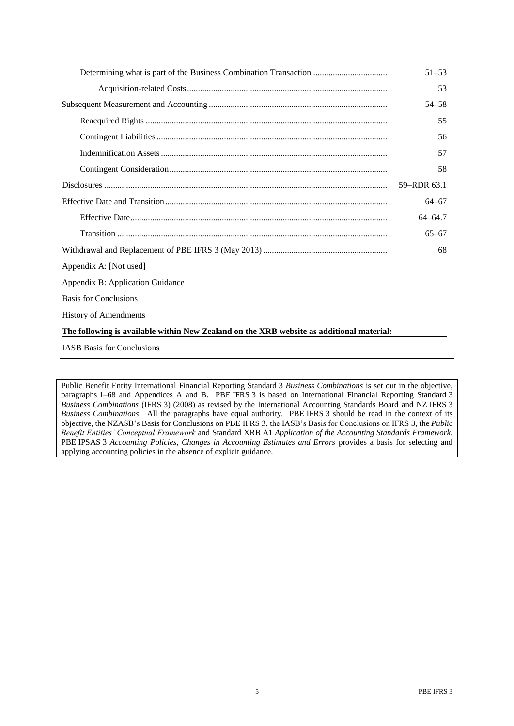| Determining what is part of the Business Combination Transaction |             |  |
|------------------------------------------------------------------|-------------|--|
|                                                                  | 53          |  |
|                                                                  |             |  |
|                                                                  | 55          |  |
|                                                                  | 56          |  |
|                                                                  | 57          |  |
|                                                                  | 58          |  |
|                                                                  | 59–RDR 63.1 |  |
|                                                                  |             |  |
|                                                                  | $64 - 64.7$ |  |
|                                                                  | $65 - 67$   |  |
|                                                                  | 68          |  |
| Appendix A: [Not used]                                           |             |  |
| Appendix B: Application Guidance                                 |             |  |
| <b>Basis for Conclusions</b>                                     |             |  |
| <b>History of Amendments</b>                                     |             |  |

**The following is available within New Zealand on the XRB website as additional material:**

IASB Basis for Conclusions

Public Benefit Entity International Financial Reporting Standard 3 *Business Combinations* is set out in the objective, paragraphs 1–68 and Appendices A and B. PBE IFRS 3 is based on International Financial Reporting Standard 3 *Business Combinations* (IFRS 3) (2008) as revised by the International Accounting Standards Board and NZ IFRS 3 *Business Combinations*. All the paragraphs have equal authority. PBE IFRS 3 should be read in the context of its objective, the NZASB's Basis for Conclusions on PBE IFRS 3, the IASB's Basis for Conclusions on IFRS 3, the *Public Benefit Entities' Conceptual Framework* and Standard XRB A1 *Application of the Accounting Standards Framework.* PBE IPSAS 3 *Accounting Policies, Changes in Accounting Estimates and Errors* provides a basis for selecting and applying accounting policies in the absence of explicit guidance.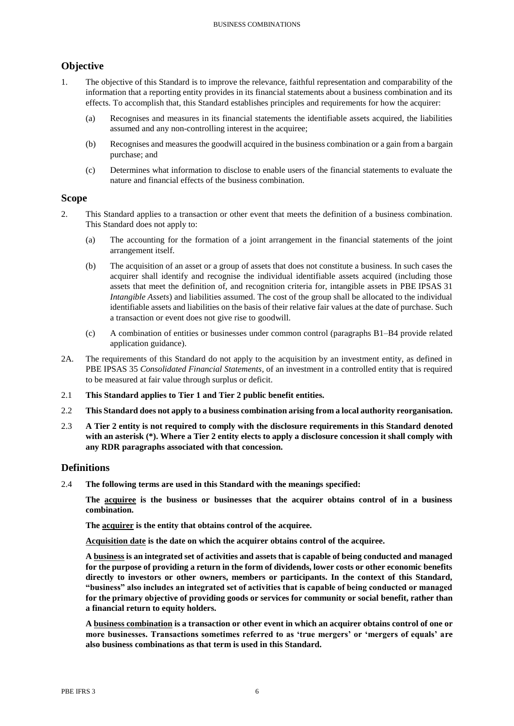## **Objective**

- 1. The objective of this Standard is to improve the relevance, faithful representation and comparability of the information that a reporting entity provides in its financial statements about a business combination and its effects. To accomplish that, this Standard establishes principles and requirements for how the acquirer:
	- (a) Recognises and measures in its financial statements the identifiable assets acquired, the liabilities assumed and any non-controlling interest in the acquiree;
	- (b) Recognises and measures the goodwill acquired in the business combination or a gain from a bargain purchase; and
	- (c) Determines what information to disclose to enable users of the financial statements to evaluate the nature and financial effects of the business combination.

## **Scope**

- 2. This Standard applies to a transaction or other event that meets the definition of a business combination. This Standard does not apply to:
	- (a) The accounting for the formation of a joint arrangement in the financial statements of the joint arrangement itself.
	- (b) The acquisition of an asset or a group of assets that does not constitute a business. In such cases the acquirer shall identify and recognise the individual identifiable assets acquired (including those assets that meet the definition of, and recognition criteria for, intangible assets in PBE IPSAS 31 *Intangible Assets*) and liabilities assumed. The cost of the group shall be allocated to the individual identifiable assets and liabilities on the basis of their relative fair values at the date of purchase. Such a transaction or event does not give rise to goodwill.
	- (c) A combination of entities or businesses under common control (paragraphs B1–B4 provide related application guidance).
- 2A. The requirements of this Standard do not apply to the acquisition by an investment entity, as defined in PBE IPSAS 35 *Consolidated Financial Statements*, of an investment in a controlled entity that is required to be measured at fair value through surplus or deficit.
- 2.1 **This Standard applies to Tier 1 and Tier 2 public benefit entities.**
- 2.2 **This Standard does not apply to a business combination arising from a local authority reorganisation.**
- 2.3 **A Tier 2 entity is not required to comply with the disclosure requirements in this Standard denoted with an asterisk (\*). Where a Tier 2 entity elects to apply a disclosure concession it shall comply with any RDR paragraphs associated with that concession.**

## **Definitions**

2.4 **The following terms are used in this Standard with the meanings specified:**

**The acquiree is the business or businesses that the acquirer obtains control of in a business combination.** 

**The acquirer is the entity that obtains control of the acquiree.** 

**Acquisition date is the date on which the acquirer obtains control of the acquiree.**

**A business is an integrated set of activities and assets that is capable of being conducted and managed for the purpose of providing a return in the form of dividends, lower costs or other economic benefits directly to investors or other owners, members or participants. In the context of this Standard, "business" also includes an integrated set of activities that is capable of being conducted or managed for the primary objective of providing goods or services for community or social benefit, rather than a financial return to equity holders.**

**A business combination is a transaction or other event in which an acquirer obtains control of one or more businesses. Transactions sometimes referred to as 'true mergers' or 'mergers of equals' are also business combinations as that term is used in this Standard.**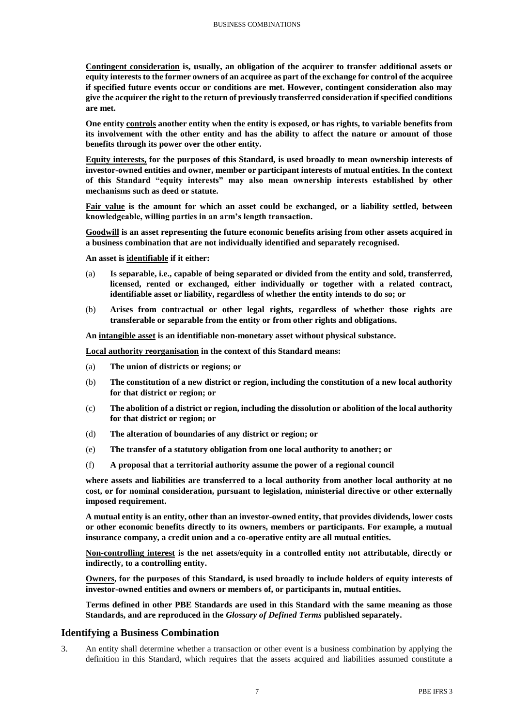**Contingent consideration is, usually, an obligation of the acquirer to transfer additional assets or equity interests to the former owners of an acquiree as part of the exchange for control of the acquiree if specified future events occur or conditions are met. However, contingent consideration also may give the acquirer the right to the return of previously transferred consideration if specified conditions are met.**

**One entity controls another entity when the entity is exposed, or has rights, to variable benefits from its involvement with the other entity and has the ability to affect the nature or amount of those benefits through its power over the other entity.**

**Equity interests, for the purposes of this Standard, is used broadly to mean ownership interests of investor-owned entities and owner, member or participant interests of mutual entities. In the context of this Standard "equity interests" may also mean ownership interests established by other mechanisms such as deed or statute.**

**Fair value is the amount for which an asset could be exchanged, or a liability settled, between knowledgeable, willing parties in an arm's length transaction.**

**Goodwill is an asset representing the future economic benefits arising from other assets acquired in a business combination that are not individually identified and separately recognised.**

**An asset is identifiable if it either:**

- (a) **Is separable, i.e., capable of being separated or divided from the entity and sold, transferred, licensed, rented or exchanged, either individually or together with a related contract, identifiable asset or liability, regardless of whether the entity intends to do so; or**
- (b) **Arises from contractual or other legal rights, regardless of whether those rights are transferable or separable from the entity or from other rights and obligations.**

**An intangible asset is an identifiable non-monetary asset without physical substance.** 

**Local authority reorganisation in the context of this Standard means:**

- (a) **The union of districts or regions; or**
- (b) **The constitution of a new district or region, including the constitution of a new local authority for that district or region; or**
- (c) **The abolition of a district or region, including the dissolution or abolition of the local authority for that district or region; or**
- (d) **The alteration of boundaries of any district or region; or**
- (e) **The transfer of a statutory obligation from one local authority to another; or**
- (f) **A proposal that a territorial authority assume the power of a regional council**

**where assets and liabilities are transferred to a local authority from another local authority at no cost, or for nominal consideration, pursuant to legislation, ministerial directive or other externally imposed requirement.**

**A mutual entity is an entity, other than an investor-owned entity, that provides dividends, lower costs or other economic benefits directly to its owners, members or participants. For example, a mutual insurance company, a credit union and a co-operative entity are all mutual entities.**

**Non-controlling interest is the net assets/equity in a controlled entity not attributable, directly or indirectly, to a controlling entity.**

**Owners, for the purposes of this Standard, is used broadly to include holders of equity interests of investor-owned entities and owners or members of, or participants in, mutual entities.**

**Terms defined in other PBE Standards are used in this Standard with the same meaning as those Standards, and are reproduced in the** *Glossary of Defined Terms* **published separately.**

## **Identifying a Business Combination**

3. An entity shall determine whether a transaction or other event is a business combination by applying the definition in this Standard, which requires that the assets acquired and liabilities assumed constitute a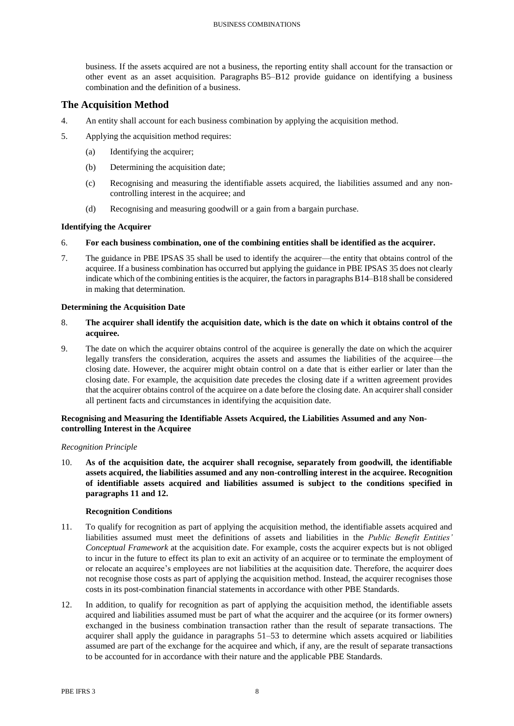business. If the assets acquired are not a business, the reporting entity shall account for the transaction or other event as an asset acquisition. Paragraphs B5–B12 provide guidance on identifying a business combination and the definition of a business.

## **The Acquisition Method**

- 4. An entity shall account for each business combination by applying the acquisition method.
- 5. Applying the acquisition method requires:
	- (a) Identifying the acquirer;
	- (b) Determining the acquisition date;
	- (c) Recognising and measuring the identifiable assets acquired, the liabilities assumed and any noncontrolling interest in the acquiree; and
	- (d) Recognising and measuring goodwill or a gain from a bargain purchase.

#### **Identifying the Acquirer**

- 6. **For each business combination, one of the combining entities shall be identified as the acquirer.**
- 7. The guidance in PBE IPSAS 35 shall be used to identify the acquirer—the entity that obtains control of the acquiree. If a business combination has occurred but applying the guidance in PBE IPSAS 35 does not clearly indicate which of the combining entities is the acquirer, the factors in paragraphs B14–B18 shall be considered in making that determination.

#### **Determining the Acquisition Date**

- 8. **The acquirer shall identify the acquisition date, which is the date on which it obtains control of the acquiree.**
- 9. The date on which the acquirer obtains control of the acquiree is generally the date on which the acquirer legally transfers the consideration, acquires the assets and assumes the liabilities of the acquiree—the closing date. However, the acquirer might obtain control on a date that is either earlier or later than the closing date. For example, the acquisition date precedes the closing date if a written agreement provides that the acquirer obtains control of the acquiree on a date before the closing date. An acquirer shall consider all pertinent facts and circumstances in identifying the acquisition date.

## **Recognising and Measuring the Identifiable Assets Acquired, the Liabilities Assumed and any Noncontrolling Interest in the Acquiree**

#### *Recognition Principle*

10. **As of the acquisition date, the acquirer shall recognise, separately from goodwill, the identifiable assets acquired, the liabilities assumed and any non-controlling interest in the acquiree. Recognition of identifiable assets acquired and liabilities assumed is subject to the conditions specified in paragraphs 11 and 12.** 

## **Recognition Conditions**

- 11. To qualify for recognition as part of applying the acquisition method, the identifiable assets acquired and liabilities assumed must meet the definitions of assets and liabilities in the *Public Benefit Entities' Conceptual Framework* at the acquisition date. For example, costs the acquirer expects but is not obliged to incur in the future to effect its plan to exit an activity of an acquiree or to terminate the employment of or relocate an acquiree's employees are not liabilities at the acquisition date. Therefore, the acquirer does not recognise those costs as part of applying the acquisition method. Instead, the acquirer recognises those costs in its post-combination financial statements in accordance with other PBE Standards.
- 12. In addition, to qualify for recognition as part of applying the acquisition method, the identifiable assets acquired and liabilities assumed must be part of what the acquirer and the acquiree (or its former owners) exchanged in the business combination transaction rather than the result of separate transactions. The acquirer shall apply the guidance in paragraphs 51–53 to determine which assets acquired or liabilities assumed are part of the exchange for the acquiree and which, if any, are the result of separate transactions to be accounted for in accordance with their nature and the applicable PBE Standards.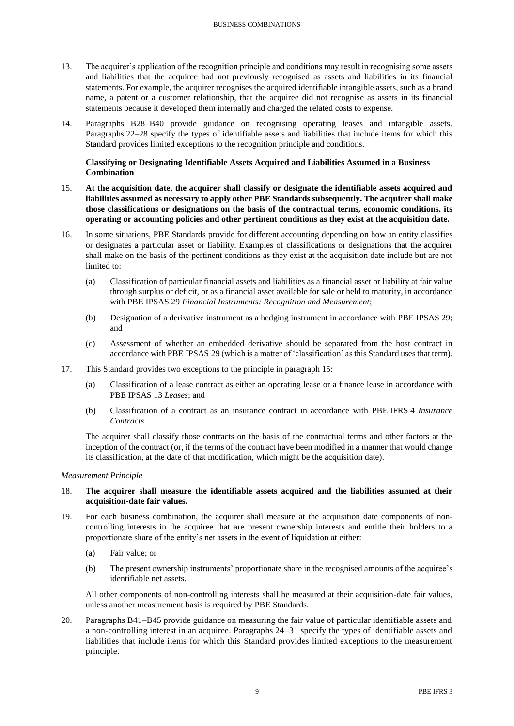#### BUSINESS COMBINATIONS

- 13. The acquirer's application of the recognition principle and conditions may result in recognising some assets and liabilities that the acquiree had not previously recognised as assets and liabilities in its financial statements. For example, the acquirer recognises the acquired identifiable intangible assets, such as a brand name, a patent or a customer relationship, that the acquiree did not recognise as assets in its financial statements because it developed them internally and charged the related costs to expense.
- 14. Paragraphs B28–B40 provide guidance on recognising operating leases and intangible assets. Paragraphs 22–28 specify the types of identifiable assets and liabilities that include items for which this Standard provides limited exceptions to the recognition principle and conditions.

## **Classifying or Designating Identifiable Assets Acquired and Liabilities Assumed in a Business Combination**

- 15. **At the acquisition date, the acquirer shall classify or designate the identifiable assets acquired and liabilities assumed as necessary to apply other PBE Standards subsequently. The acquirer shall make those classifications or designations on the basis of the contractual terms, economic conditions, its operating or accounting policies and other pertinent conditions as they exist at the acquisition date.**
- 16. In some situations, PBE Standards provide for different accounting depending on how an entity classifies or designates a particular asset or liability. Examples of classifications or designations that the acquirer shall make on the basis of the pertinent conditions as they exist at the acquisition date include but are not limited to:
	- (a) Classification of particular financial assets and liabilities as a financial asset or liability at fair value through surplus or deficit, or as a financial asset available for sale or held to maturity, in accordance with PBE IPSAS 29 *Financial Instruments: Recognition and Measurement*;
	- (b) Designation of a derivative instrument as a hedging instrument in accordance with PBE IPSAS 29; and
	- (c) Assessment of whether an embedded derivative should be separated from the host contract in accordance with PBE IPSAS 29 (which is a matter of 'classification' as this Standard uses that term).
- 17. This Standard provides two exceptions to the principle in paragraph 15:
	- (a) Classification of a lease contract as either an operating lease or a finance lease in accordance with PBE IPSAS 13 *Leases*; and
	- (b) Classification of a contract as an insurance contract in accordance with PBE IFRS 4 *Insurance Contracts*.

The acquirer shall classify those contracts on the basis of the contractual terms and other factors at the inception of the contract (or, if the terms of the contract have been modified in a manner that would change its classification, at the date of that modification, which might be the acquisition date).

#### *Measurement Principle*

## 18. **The acquirer shall measure the identifiable assets acquired and the liabilities assumed at their acquisition-date fair values.**

- 19. For each business combination, the acquirer shall measure at the acquisition date components of noncontrolling interests in the acquiree that are present ownership interests and entitle their holders to a proportionate share of the entity's net assets in the event of liquidation at either:
	- (a) Fair value; or
	- (b) The present ownership instruments' proportionate share in the recognised amounts of the acquiree's identifiable net assets.

All other components of non-controlling interests shall be measured at their acquisition-date fair values, unless another measurement basis is required by PBE Standards.

20. Paragraphs B41–B45 provide guidance on measuring the fair value of particular identifiable assets and a non-controlling interest in an acquiree. Paragraphs 24–31 specify the types of identifiable assets and liabilities that include items for which this Standard provides limited exceptions to the measurement principle.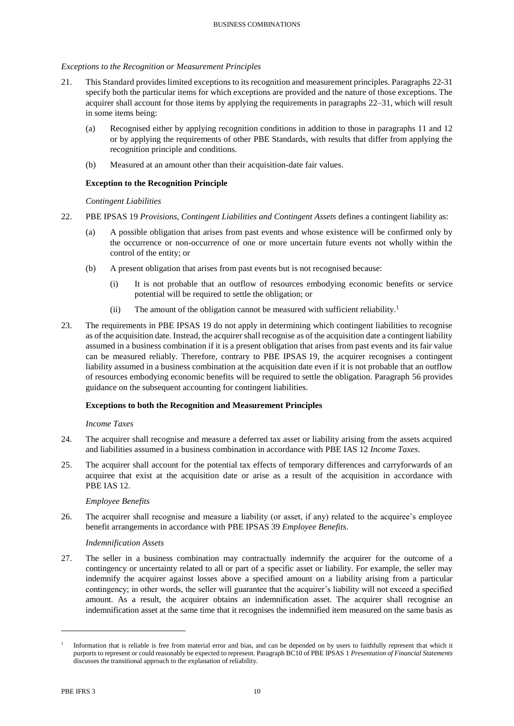## *Exceptions to the Recognition or Measurement Principles*

- 21. This Standard provides limited exceptions to its recognition and measurement principles. Paragraphs 22-31 specify both the particular items for which exceptions are provided and the nature of those exceptions. The acquirer shall account for those items by applying the requirements in paragraphs 22–31, which will result in some items being:
	- (a) Recognised either by applying recognition conditions in addition to those in paragraphs 11 and 12 or by applying the requirements of other PBE Standards, with results that differ from applying the recognition principle and conditions.
	- (b) Measured at an amount other than their acquisition-date fair values.

## **Exception to the Recognition Principle**

## *Contingent Liabilities*

- 22. PBE IPSAS 19 *Provisions, Contingent Liabilities and Contingent Assets* defines a contingent liability as:
	- (a) A possible obligation that arises from past events and whose existence will be confirmed only by the occurrence or non-occurrence of one or more uncertain future events not wholly within the control of the entity; or
	- (b) A present obligation that arises from past events but is not recognised because:
		- (i) It is not probable that an outflow of resources embodying economic benefits or service potential will be required to settle the obligation; or
		- (ii) The amount of the obligation cannot be measured with sufficient reliability.<sup>1</sup>
- 23. The requirements in PBE IPSAS 19 do not apply in determining which contingent liabilities to recognise as of the acquisition date. Instead, the acquirer shall recognise as of the acquisition date a contingent liability assumed in a business combination if it is a present obligation that arises from past events and its fair value can be measured reliably. Therefore, contrary to PBE IPSAS 19, the acquirer recognises a contingent liability assumed in a business combination at the acquisition date even if it is not probable that an outflow of resources embodying economic benefits will be required to settle the obligation. Paragraph 56 provides guidance on the subsequent accounting for contingent liabilities.

## **Exceptions to both the Recognition and Measurement Principles**

## *Income Taxes*

- 24. The acquirer shall recognise and measure a deferred tax asset or liability arising from the assets acquired and liabilities assumed in a business combination in accordance with PBE IAS 12 *Income Taxes*.
- 25. The acquirer shall account for the potential tax effects of temporary differences and carryforwards of an acquiree that exist at the acquisition date or arise as a result of the acquisition in accordance with PBE IAS 12.

## *Employee Benefits*

26. The acquirer shall recognise and measure a liability (or asset, if any) related to the acquiree's employee benefit arrangements in accordance with PBE IPSAS 39 *Employee Benefits*.

## *Indemnification Assets*

27. The seller in a business combination may contractually indemnify the acquirer for the outcome of a contingency or uncertainty related to all or part of a specific asset or liability. For example, the seller may indemnify the acquirer against losses above a specified amount on a liability arising from a particular contingency; in other words, the seller will guarantee that the acquirer's liability will not exceed a specified amount. As a result, the acquirer obtains an indemnification asset. The acquirer shall recognise an indemnification asset at the same time that it recognises the indemnified item measured on the same basis as

 $\overline{a}$ 

<sup>1</sup> Information that is reliable is free from material error and bias, and can be depended on by users to faithfully represent that which it purports to represent or could reasonably be expected to represent. Paragraph BC10 of PBE IPSAS 1 *Presentation of Financial Statements* discusses the transitional approach to the explanation of reliability.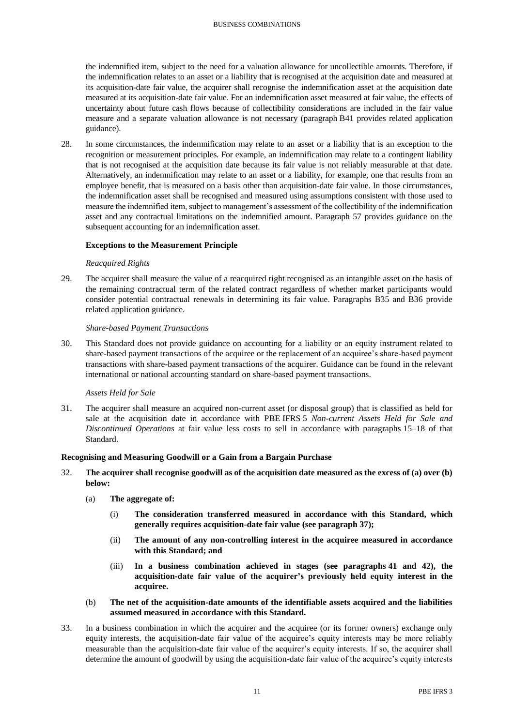the indemnified item, subject to the need for a valuation allowance for uncollectible amounts. Therefore, if the indemnification relates to an asset or a liability that is recognised at the acquisition date and measured at its acquisition-date fair value, the acquirer shall recognise the indemnification asset at the acquisition date measured at its acquisition-date fair value. For an indemnification asset measured at fair value, the effects of uncertainty about future cash flows because of collectibility considerations are included in the fair value measure and a separate valuation allowance is not necessary (paragraph B41 provides related application guidance).

28. In some circumstances, the indemnification may relate to an asset or a liability that is an exception to the recognition or measurement principles. For example, an indemnification may relate to a contingent liability that is not recognised at the acquisition date because its fair value is not reliably measurable at that date. Alternatively, an indemnification may relate to an asset or a liability, for example, one that results from an employee benefit, that is measured on a basis other than acquisition-date fair value. In those circumstances, the indemnification asset shall be recognised and measured using assumptions consistent with those used to measure the indemnified item, subject to management's assessment of the collectibility of the indemnification asset and any contractual limitations on the indemnified amount. Paragraph 57 provides guidance on the subsequent accounting for an indemnification asset.

## **Exceptions to the Measurement Principle**

#### *Reacquired Rights*

29. The acquirer shall measure the value of a reacquired right recognised as an intangible asset on the basis of the remaining contractual term of the related contract regardless of whether market participants would consider potential contractual renewals in determining its fair value. Paragraphs B35 and B36 provide related application guidance.

#### *Share-based Payment Transactions*

30. This Standard does not provide guidance on accounting for a liability or an equity instrument related to share-based payment transactions of the acquiree or the replacement of an acquiree's share-based payment transactions with share-based payment transactions of the acquirer. Guidance can be found in the relevant international or national accounting standard on share-based payment transactions.

#### *Assets Held for Sale*

31. The acquirer shall measure an acquired non-current asset (or disposal group) that is classified as held for sale at the acquisition date in accordance with PBE IFRS 5 *Non-current Assets Held for Sale and Discontinued Operations* at fair value less costs to sell in accordance with paragraphs 15–18 of that Standard.

#### **Recognising and Measuring Goodwill or a Gain from a Bargain Purchase**

- 32. **The acquirer shall recognise goodwill as of the acquisition date measured as the excess of (a) over (b) below:**
	- (a) **The aggregate of:**
		- (i) **The consideration transferred measured in accordance with this Standard, which generally requires acquisition-date fair value (see paragraph 37);**
		- (ii) **The amount of any non-controlling interest in the acquiree measured in accordance with this Standard; and**
		- (iii) **In a business combination achieved in stages (see paragraphs 41 and 42), the acquisition-date fair value of the acquirer's previously held equity interest in the acquiree.**
	- (b) **The net of the acquisition-date amounts of the identifiable assets acquired and the liabilities assumed measured in accordance with this Standard.**
- 33. In a business combination in which the acquirer and the acquiree (or its former owners) exchange only equity interests, the acquisition-date fair value of the acquiree's equity interests may be more reliably measurable than the acquisition-date fair value of the acquirer's equity interests. If so, the acquirer shall determine the amount of goodwill by using the acquisition-date fair value of the acquiree's equity interests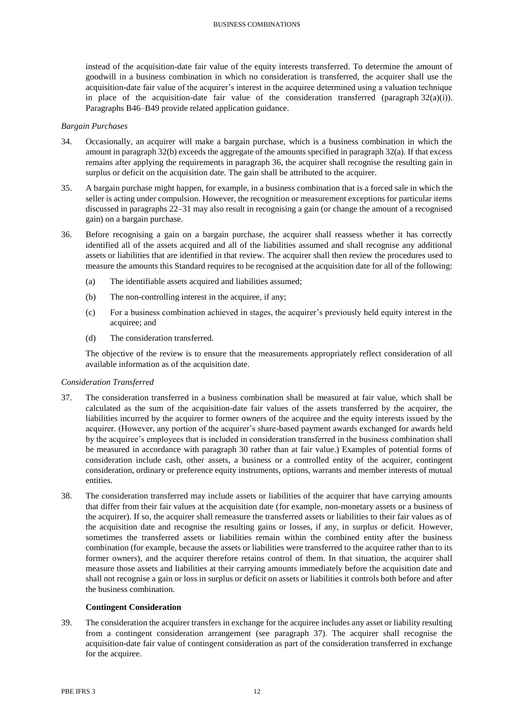instead of the acquisition-date fair value of the equity interests transferred. To determine the amount of goodwill in a business combination in which no consideration is transferred, the acquirer shall use the acquisition-date fair value of the acquirer's interest in the acquiree determined using a valuation technique in place of the acquisition-date fair value of the consideration transferred (paragraph  $32(a)(i)$ ). Paragraphs B46–B49 provide related application guidance.

#### *Bargain Purchases*

- 34. Occasionally, an acquirer will make a bargain purchase, which is a business combination in which the amount in paragraph 32(b) exceeds the aggregate of the amounts specified in paragraph 32(a). If that excess remains after applying the requirements in paragraph 36, the acquirer shall recognise the resulting gain in surplus or deficit on the acquisition date. The gain shall be attributed to the acquirer.
- 35. A bargain purchase might happen, for example, in a business combination that is a forced sale in which the seller is acting under compulsion. However, the recognition or measurement exceptions for particular items discussed in paragraphs 22–31 may also result in recognising a gain (or change the amount of a recognised gain) on a bargain purchase.
- 36. Before recognising a gain on a bargain purchase, the acquirer shall reassess whether it has correctly identified all of the assets acquired and all of the liabilities assumed and shall recognise any additional assets or liabilities that are identified in that review. The acquirer shall then review the procedures used to measure the amounts this Standard requires to be recognised at the acquisition date for all of the following:
	- (a) The identifiable assets acquired and liabilities assumed;
	- (b) The non-controlling interest in the acquiree, if any;
	- (c) For a business combination achieved in stages, the acquirer's previously held equity interest in the acquiree; and
	- (d) The consideration transferred.

The objective of the review is to ensure that the measurements appropriately reflect consideration of all available information as of the acquisition date.

## *Consideration Transferred*

- 37. The consideration transferred in a business combination shall be measured at fair value, which shall be calculated as the sum of the acquisition-date fair values of the assets transferred by the acquirer, the liabilities incurred by the acquirer to former owners of the acquiree and the equity interests issued by the acquirer. (However, any portion of the acquirer's share-based payment awards exchanged for awards held by the acquiree's employees that is included in consideration transferred in the business combination shall be measured in accordance with paragraph 30 rather than at fair value.) Examples of potential forms of consideration include cash, other assets, a business or a controlled entity of the acquirer, contingent consideration, ordinary or preference equity instruments, options, warrants and member interests of mutual entities.
- 38. The consideration transferred may include assets or liabilities of the acquirer that have carrying amounts that differ from their fair values at the acquisition date (for example, non-monetary assets or a business of the acquirer). If so, the acquirer shall remeasure the transferred assets or liabilities to their fair values as of the acquisition date and recognise the resulting gains or losses, if any, in surplus or deficit. However, sometimes the transferred assets or liabilities remain within the combined entity after the business combination (for example, because the assets or liabilities were transferred to the acquiree rather than to its former owners), and the acquirer therefore retains control of them. In that situation, the acquirer shall measure those assets and liabilities at their carrying amounts immediately before the acquisition date and shall not recognise a gain or loss in surplus or deficit on assets or liabilities it controls both before and after the business combination.

## **Contingent Consideration**

39. The consideration the acquirer transfers in exchange for the acquiree includes any asset or liability resulting from a contingent consideration arrangement (see paragraph 37). The acquirer shall recognise the acquisition-date fair value of contingent consideration as part of the consideration transferred in exchange for the acquiree.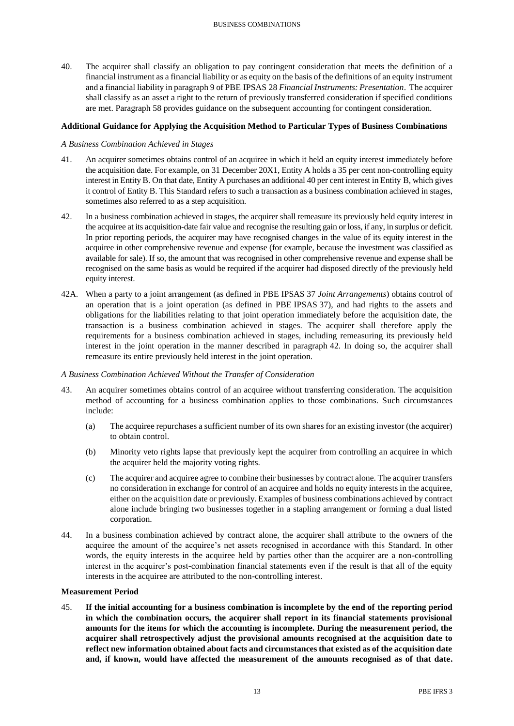40. The acquirer shall classify an obligation to pay contingent consideration that meets the definition of a financial instrument as a financial liability or as equity on the basis of the definitions of an equity instrument and a financial liability in paragraph 9 of PBE IPSAS 28 *Financial Instruments: Presentation*. The acquirer shall classify as an asset a right to the return of previously transferred consideration if specified conditions are met. Paragraph 58 provides guidance on the subsequent accounting for contingent consideration.

#### **Additional Guidance for Applying the Acquisition Method to Particular Types of Business Combinations**

#### *A Business Combination Achieved in Stages*

- 41. An acquirer sometimes obtains control of an acquiree in which it held an equity interest immediately before the acquisition date. For example, on 31 December 20X1, Entity A holds a 35 per cent non-controlling equity interest in Entity B. On that date, Entity A purchases an additional 40 per cent interest in Entity B, which gives it control of Entity B. This Standard refers to such a transaction as a business combination achieved in stages, sometimes also referred to as a step acquisition.
- 42. In a business combination achieved in stages, the acquirer shall remeasure its previously held equity interest in the acquiree at its acquisition-date fair value and recognise the resulting gain or loss, if any, in surplus or deficit. In prior reporting periods, the acquirer may have recognised changes in the value of its equity interest in the acquiree in other comprehensive revenue and expense (for example, because the investment was classified as available for sale). If so, the amount that was recognised in other comprehensive revenue and expense shall be recognised on the same basis as would be required if the acquirer had disposed directly of the previously held equity interest.
- 42A. When a party to a joint arrangement (as defined in PBE IPSAS 37 *Joint Arrangements*) obtains control of an operation that is a joint operation (as defined in PBE IPSAS 37), and had rights to the assets and obligations for the liabilities relating to that joint operation immediately before the acquisition date, the transaction is a business combination achieved in stages. The acquirer shall therefore apply the requirements for a business combination achieved in stages, including remeasuring its previously held interest in the joint operation in the manner described in paragraph 42. In doing so, the acquirer shall remeasure its entire previously held interest in the joint operation.

#### *A Business Combination Achieved Without the Transfer of Consideration*

- 43. An acquirer sometimes obtains control of an acquiree without transferring consideration. The acquisition method of accounting for a business combination applies to those combinations. Such circumstances include:
	- (a) The acquiree repurchases a sufficient number of its own shares for an existing investor (the acquirer) to obtain control.
	- (b) Minority veto rights lapse that previously kept the acquirer from controlling an acquiree in which the acquirer held the majority voting rights.
	- (c) The acquirer and acquiree agree to combine their businesses by contract alone. The acquirer transfers no consideration in exchange for control of an acquiree and holds no equity interests in the acquiree, either on the acquisition date or previously. Examples of business combinations achieved by contract alone include bringing two businesses together in a stapling arrangement or forming a dual listed corporation.
- 44. In a business combination achieved by contract alone, the acquirer shall attribute to the owners of the acquiree the amount of the acquiree's net assets recognised in accordance with this Standard. In other words, the equity interests in the acquiree held by parties other than the acquirer are a non-controlling interest in the acquirer's post-combination financial statements even if the result is that all of the equity interests in the acquiree are attributed to the non-controlling interest.

#### **Measurement Period**

45. **If the initial accounting for a business combination is incomplete by the end of the reporting period in which the combination occurs, the acquirer shall report in its financial statements provisional amounts for the items for which the accounting is incomplete. During the measurement period, the acquirer shall retrospectively adjust the provisional amounts recognised at the acquisition date to reflect new information obtained about facts and circumstances that existed as of the acquisition date and, if known, would have affected the measurement of the amounts recognised as of that date.**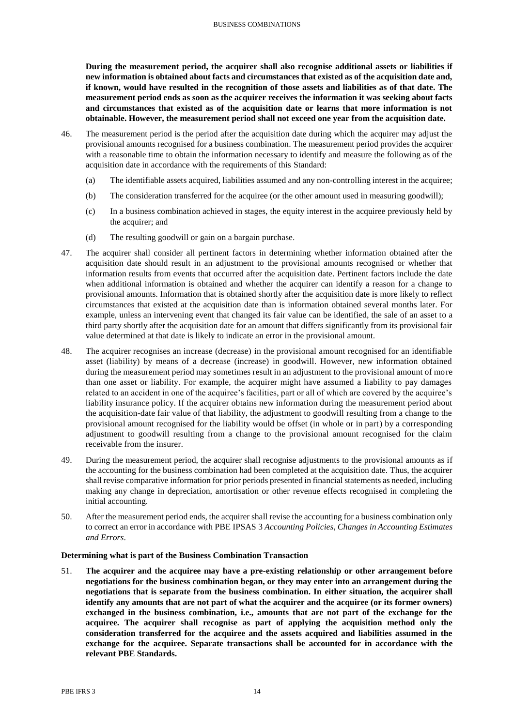**During the measurement period, the acquirer shall also recognise additional assets or liabilities if new information is obtained about facts and circumstances that existed as of the acquisition date and, if known, would have resulted in the recognition of those assets and liabilities as of that date. The measurement period ends as soon as the acquirer receives the information it was seeking about facts and circumstances that existed as of the acquisition date or learns that more information is not obtainable. However, the measurement period shall not exceed one year from the acquisition date.**

- 46. The measurement period is the period after the acquisition date during which the acquirer may adjust the provisional amounts recognised for a business combination. The measurement period provides the acquirer with a reasonable time to obtain the information necessary to identify and measure the following as of the acquisition date in accordance with the requirements of this Standard:
	- (a) The identifiable assets acquired, liabilities assumed and any non-controlling interest in the acquiree;
	- (b) The consideration transferred for the acquiree (or the other amount used in measuring goodwill);
	- (c) In a business combination achieved in stages, the equity interest in the acquiree previously held by the acquirer; and
	- (d) The resulting goodwill or gain on a bargain purchase.
- 47. The acquirer shall consider all pertinent factors in determining whether information obtained after the acquisition date should result in an adjustment to the provisional amounts recognised or whether that information results from events that occurred after the acquisition date. Pertinent factors include the date when additional information is obtained and whether the acquirer can identify a reason for a change to provisional amounts. Information that is obtained shortly after the acquisition date is more likely to reflect circumstances that existed at the acquisition date than is information obtained several months later. For example, unless an intervening event that changed its fair value can be identified, the sale of an asset to a third party shortly after the acquisition date for an amount that differs significantly from its provisional fair value determined at that date is likely to indicate an error in the provisional amount.
- 48. The acquirer recognises an increase (decrease) in the provisional amount recognised for an identifiable asset (liability) by means of a decrease (increase) in goodwill. However, new information obtained during the measurement period may sometimes result in an adjustment to the provisional amount of more than one asset or liability. For example, the acquirer might have assumed a liability to pay damages related to an accident in one of the acquiree's facilities, part or all of which are covered by the acquiree's liability insurance policy. If the acquirer obtains new information during the measurement period about the acquisition-date fair value of that liability, the adjustment to goodwill resulting from a change to the provisional amount recognised for the liability would be offset (in whole or in part) by a corresponding adjustment to goodwill resulting from a change to the provisional amount recognised for the claim receivable from the insurer.
- 49. During the measurement period, the acquirer shall recognise adjustments to the provisional amounts as if the accounting for the business combination had been completed at the acquisition date. Thus, the acquirer shall revise comparative information for prior periods presented in financial statements as needed, including making any change in depreciation, amortisation or other revenue effects recognised in completing the initial accounting.
- 50. After the measurement period ends, the acquirer shall revise the accounting for a business combination only to correct an error in accordance with PBE IPSAS 3 *Accounting Policies, Changes in Accounting Estimates and Errors*.

#### **Determining what is part of the Business Combination Transaction**

51. **The acquirer and the acquiree may have a pre-existing relationship or other arrangement before negotiations for the business combination began, or they may enter into an arrangement during the negotiations that is separate from the business combination. In either situation, the acquirer shall identify any amounts that are not part of what the acquirer and the acquiree (or its former owners) exchanged in the business combination, i.e., amounts that are not part of the exchange for the acquiree. The acquirer shall recognise as part of applying the acquisition method only the consideration transferred for the acquiree and the assets acquired and liabilities assumed in the exchange for the acquiree. Separate transactions shall be accounted for in accordance with the relevant PBE Standards.**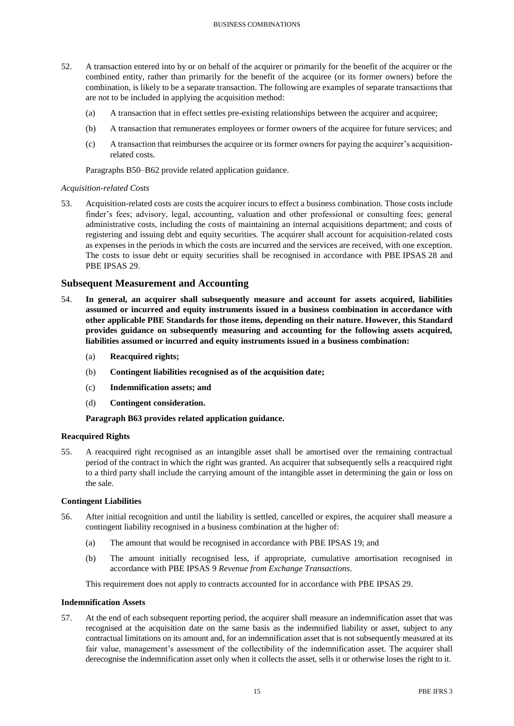- 52. A transaction entered into by or on behalf of the acquirer or primarily for the benefit of the acquirer or the combined entity, rather than primarily for the benefit of the acquiree (or its former owners) before the combination, is likely to be a separate transaction. The following are examples of separate transactions that are not to be included in applying the acquisition method:
	- (a) A transaction that in effect settles pre-existing relationships between the acquirer and acquiree;
	- (b) A transaction that remunerates employees or former owners of the acquiree for future services; and
	- (c) A transaction that reimburses the acquiree or its former owners for paying the acquirer's acquisitionrelated costs.

Paragraphs B50–B62 provide related application guidance.

#### *Acquisition-related Costs*

53. Acquisition-related costs are costs the acquirer incurs to effect a business combination. Those costs include finder's fees; advisory, legal, accounting, valuation and other professional or consulting fees; general administrative costs, including the costs of maintaining an internal acquisitions department; and costs of registering and issuing debt and equity securities. The acquirer shall account for acquisition-related costs as expenses in the periods in which the costs are incurred and the services are received, with one exception. The costs to issue debt or equity securities shall be recognised in accordance with PBE IPSAS 28 and PBE IPSAS 29.

## **Subsequent Measurement and Accounting**

- 54. **In general, an acquirer shall subsequently measure and account for assets acquired, liabilities assumed or incurred and equity instruments issued in a business combination in accordance with other applicable PBE Standards for those items, depending on their nature. However, this Standard provides guidance on subsequently measuring and accounting for the following assets acquired, liabilities assumed or incurred and equity instruments issued in a business combination:**
	- (a) **Reacquired rights;**
	- (b) **Contingent liabilities recognised as of the acquisition date;**
	- (c) **Indemnification assets; and**
	- (d) **Contingent consideration.**

## **Paragraph B63 provides related application guidance.**

#### **Reacquired Rights**

55. A reacquired right recognised as an intangible asset shall be amortised over the remaining contractual period of the contract in which the right was granted. An acquirer that subsequently sells a reacquired right to a third party shall include the carrying amount of the intangible asset in determining the gain or loss on the sale.

#### **Contingent Liabilities**

- 56. After initial recognition and until the liability is settled, cancelled or expires, the acquirer shall measure a contingent liability recognised in a business combination at the higher of:
	- (a) The amount that would be recognised in accordance with PBE IPSAS 19; and
	- (b) The amount initially recognised less, if appropriate, cumulative amortisation recognised in accordance with PBE IPSAS 9 *Revenue from Exchange Transactions*.

This requirement does not apply to contracts accounted for in accordance with PBE IPSAS 29.

#### **Indemnification Assets**

57. At the end of each subsequent reporting period, the acquirer shall measure an indemnification asset that was recognised at the acquisition date on the same basis as the indemnified liability or asset, subject to any contractual limitations on its amount and, for an indemnification asset that is not subsequently measured at its fair value, management's assessment of the collectibility of the indemnification asset. The acquirer shall derecognise the indemnification asset only when it collects the asset, sells it or otherwise loses the right to it.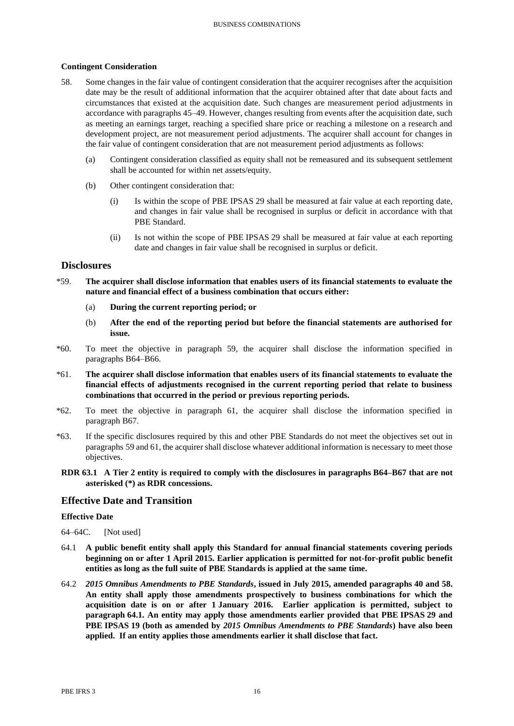#### **Contingent Consideration**

- 58. Some changes in the fair value of contingent consideration that the acquirer recognises after the acquisition date may be the result of additional information that the acquirer obtained after that date about facts and circumstances that existed at the acquisition date. Such changes are measurement period adjustments in accordance with paragraphs 45–49. However, changes resulting from events after the acquisition date, such as meeting an earnings target, reaching a specified share price or reaching a milestone on a research and development project, are not measurement period adjustments. The acquirer shall account for changes in the fair value of contingent consideration that are not measurement period adjustments as follows:
	- (a) Contingent consideration classified as equity shall not be remeasured and its subsequent settlement shall be accounted for within net assets/equity.
	- (b) Other contingent consideration that:
		- (i) Is within the scope of PBE IPSAS 29 shall be measured at fair value at each reporting date, and changes in fair value shall be recognised in surplus or deficit in accordance with that PBE Standard.
		- (ii) Is not within the scope of PBE IPSAS 29 shall be measured at fair value at each reporting date and changes in fair value shall be recognised in surplus or deficit.

## **Disclosures**

- \*59. **The acquirer shall disclose information that enables users of its financial statements to evaluate the nature and financial effect of a business combination that occurs either:** 
	- (a) **During the current reporting period; or**
	- (b) **After the end of the reporting period but before the financial statements are authorised for issue.**
- \*60. To meet the objective in paragraph 59, the acquirer shall disclose the information specified in paragraphs B64–B66.
- \*61. **The acquirer shall disclose information that enables users of its financial statements to evaluate the financial effects of adjustments recognised in the current reporting period that relate to business combinations that occurred in the period or previous reporting periods.**
- \*62. To meet the objective in paragraph 61, the acquirer shall disclose the information specified in paragraph B67.
- \*63. If the specific disclosures required by this and other PBE Standards do not meet the objectives set out in paragraphs 59 and 61, the acquirer shall disclose whatever additional information is necessary to meet those objectives.
- **RDR 63.1 A Tier 2 entity is required to comply with the disclosures in paragraphs B64–B67 that are not asterisked (\*) as RDR concessions.**

## **Effective Date and Transition**

#### **Effective Date**

64–64C. [Not used]

- 64.1 **A public benefit entity shall apply this Standard for annual financial statements covering periods beginning on or after 1 April 2015. Earlier application is permitted for not-for-profit public benefit entities as long as the full suite of PBE Standards is applied at the same time.**
- 64.2 *2015 Omnibus Amendments to PBE Standards***, issued in July 2015, amended paragraphs 40 and 58. An entity shall apply those amendments prospectively to business combinations for which the acquisition date is on or after 1 January 2016. Earlier application is permitted, subject to paragraph 64.1. An entity may apply those amendments earlier provided that PBE IPSAS 29 and PBE IPSAS 19 (both as amended by** *2015 Omnibus Amendments to PBE Standards***) have also been applied. If an entity applies those amendments earlier it shall disclose that fact.**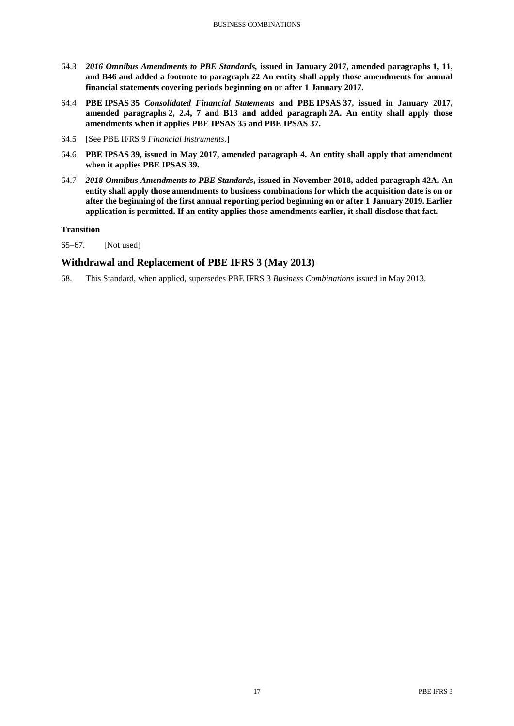- 64.3 *2016 Omnibus Amendments to PBE Standards,* **issued in January 2017, amended paragraphs 1, 11, and B46 and added a footnote to paragraph 22 An entity shall apply those amendments for annual financial statements covering periods beginning on or after 1 January 2017.**
- 64.4 **PBE IPSAS 35** *Consolidated Financial Statements* **and PBE IPSAS 37, issued in January 2017, amended paragraphs 2, 2.4, 7 and B13 and added paragraph 2A. An entity shall apply those amendments when it applies PBE IPSAS 35 and PBE IPSAS 37.**
- 64.5 [See PBE IFRS 9 *Financial Instruments*.]
- 64.6 **PBE IPSAS 39, issued in May 2017, amended paragraph 4. An entity shall apply that amendment when it applies PBE IPSAS 39.**
- 64.7 *2018 Omnibus Amendments to PBE Standards***, issued in November 2018, added paragraph 42A. An entity shall apply those amendments to business combinations for which the acquisition date is on or after the beginning of the first annual reporting period beginning on or after 1 January 2019. Earlier application is permitted. If an entity applies those amendments earlier, it shall disclose that fact.**

#### **Transition**

65–67. [Not used]

## **Withdrawal and Replacement of PBE IFRS 3 (May 2013)**

68. This Standard, when applied, supersedes PBE IFRS 3 *Business Combinations* issued in May 2013.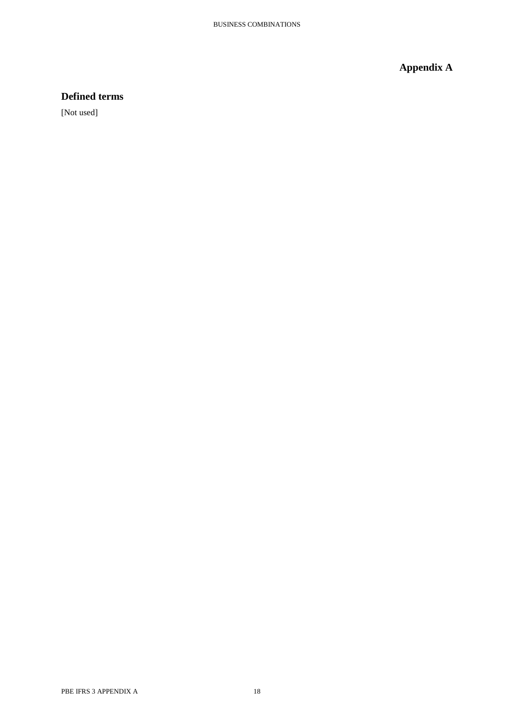**Appendix A**

## **Defined terms**

[Not used]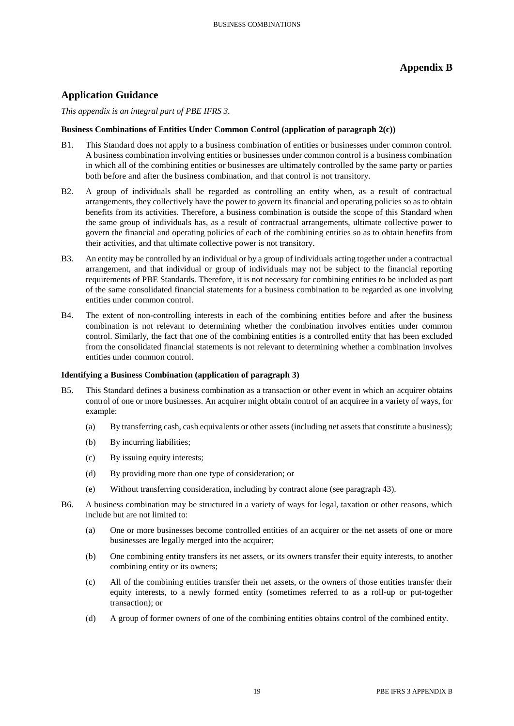## **Application Guidance**

*This appendix is an integral part of PBE IFRS 3.*

## **Business Combinations of Entities Under Common Control (application of paragraph 2(c))**

- B1. This Standard does not apply to a business combination of entities or businesses under common control. A business combination involving entities or businesses under common control is a business combination in which all of the combining entities or businesses are ultimately controlled by the same party or parties both before and after the business combination, and that control is not transitory.
- B2. A group of individuals shall be regarded as controlling an entity when, as a result of contractual arrangements, they collectively have the power to govern its financial and operating policies so as to obtain benefits from its activities. Therefore, a business combination is outside the scope of this Standard when the same group of individuals has, as a result of contractual arrangements, ultimate collective power to govern the financial and operating policies of each of the combining entities so as to obtain benefits from their activities, and that ultimate collective power is not transitory.
- B3. An entity may be controlled by an individual or by a group of individuals acting together under a contractual arrangement, and that individual or group of individuals may not be subject to the financial reporting requirements of PBE Standards. Therefore, it is not necessary for combining entities to be included as part of the same consolidated financial statements for a business combination to be regarded as one involving entities under common control.
- B4. The extent of non-controlling interests in each of the combining entities before and after the business combination is not relevant to determining whether the combination involves entities under common control. Similarly, the fact that one of the combining entities is a controlled entity that has been excluded from the consolidated financial statements is not relevant to determining whether a combination involves entities under common control.

## **Identifying a Business Combination (application of paragraph 3)**

- B5. This Standard defines a business combination as a transaction or other event in which an acquirer obtains control of one or more businesses. An acquirer might obtain control of an acquiree in a variety of ways, for example:
	- (a) By transferring cash, cash equivalents or other assets (including net assets that constitute a business);
	- (b) By incurring liabilities;
	- (c) By issuing equity interests;
	- (d) By providing more than one type of consideration; or
	- (e) Without transferring consideration, including by contract alone (see paragraph 43).
- B6. A business combination may be structured in a variety of ways for legal, taxation or other reasons, which include but are not limited to:
	- (a) One or more businesses become controlled entities of an acquirer or the net assets of one or more businesses are legally merged into the acquirer;
	- (b) One combining entity transfers its net assets, or its owners transfer their equity interests, to another combining entity or its owners;
	- (c) All of the combining entities transfer their net assets, or the owners of those entities transfer their equity interests, to a newly formed entity (sometimes referred to as a roll-up or put-together transaction); or
	- (d) A group of former owners of one of the combining entities obtains control of the combined entity.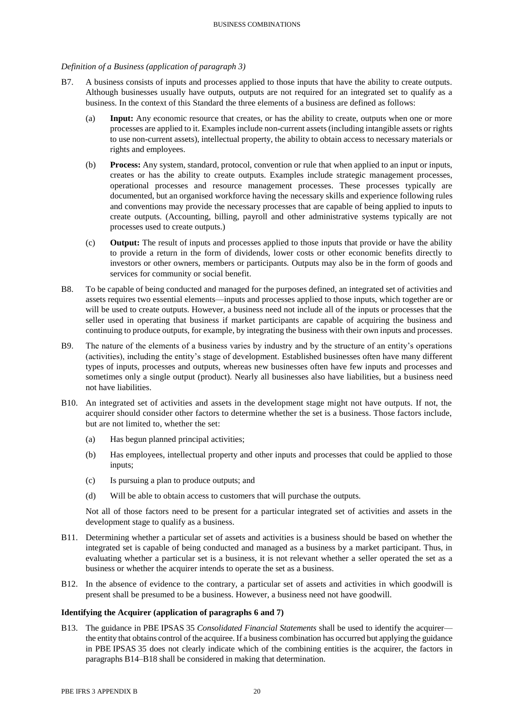#### *Definition of a Business (application of paragraph 3)*

- B7. A business consists of inputs and processes applied to those inputs that have the ability to create outputs. Although businesses usually have outputs, outputs are not required for an integrated set to qualify as a business. In the context of this Standard the three elements of a business are defined as follows:
	- (a) **Input:** Any economic resource that creates, or has the ability to create, outputs when one or more processes are applied to it. Examples include non-current assets (including intangible assets or rights to use non-current assets), intellectual property, the ability to obtain access to necessary materials or rights and employees.
	- (b) **Process:** Any system, standard, protocol, convention or rule that when applied to an input or inputs, creates or has the ability to create outputs. Examples include strategic management processes, operational processes and resource management processes. These processes typically are documented, but an organised workforce having the necessary skills and experience following rules and conventions may provide the necessary processes that are capable of being applied to inputs to create outputs. (Accounting, billing, payroll and other administrative systems typically are not processes used to create outputs.)
	- (c) **Output:** The result of inputs and processes applied to those inputs that provide or have the ability to provide a return in the form of dividends, lower costs or other economic benefits directly to investors or other owners, members or participants. Outputs may also be in the form of goods and services for community or social benefit.
- B8. To be capable of being conducted and managed for the purposes defined, an integrated set of activities and assets requires two essential elements—inputs and processes applied to those inputs, which together are or will be used to create outputs. However, a business need not include all of the inputs or processes that the seller used in operating that business if market participants are capable of acquiring the business and continuing to produce outputs, for example, by integrating the business with their own inputs and processes.
- B9. The nature of the elements of a business varies by industry and by the structure of an entity's operations (activities), including the entity's stage of development. Established businesses often have many different types of inputs, processes and outputs, whereas new businesses often have few inputs and processes and sometimes only a single output (product). Nearly all businesses also have liabilities, but a business need not have liabilities.
- B10. An integrated set of activities and assets in the development stage might not have outputs. If not, the acquirer should consider other factors to determine whether the set is a business. Those factors include, but are not limited to, whether the set:
	- (a) Has begun planned principal activities;
	- (b) Has employees, intellectual property and other inputs and processes that could be applied to those inputs;
	- (c) Is pursuing a plan to produce outputs; and
	- (d) Will be able to obtain access to customers that will purchase the outputs.

Not all of those factors need to be present for a particular integrated set of activities and assets in the development stage to qualify as a business.

- B11. Determining whether a particular set of assets and activities is a business should be based on whether the integrated set is capable of being conducted and managed as a business by a market participant. Thus, in evaluating whether a particular set is a business, it is not relevant whether a seller operated the set as a business or whether the acquirer intends to operate the set as a business.
- B12. In the absence of evidence to the contrary, a particular set of assets and activities in which goodwill is present shall be presumed to be a business. However, a business need not have goodwill.

#### **Identifying the Acquirer (application of paragraphs 6 and 7)**

B13. The guidance in PBE IPSAS 35 *Consolidated Financial Statements* shall be used to identify the acquirer the entity that obtains control of the acquiree. If a business combination has occurred but applying the guidance in PBE IPSAS 35 does not clearly indicate which of the combining entities is the acquirer, the factors in paragraphs B14–B18 shall be considered in making that determination.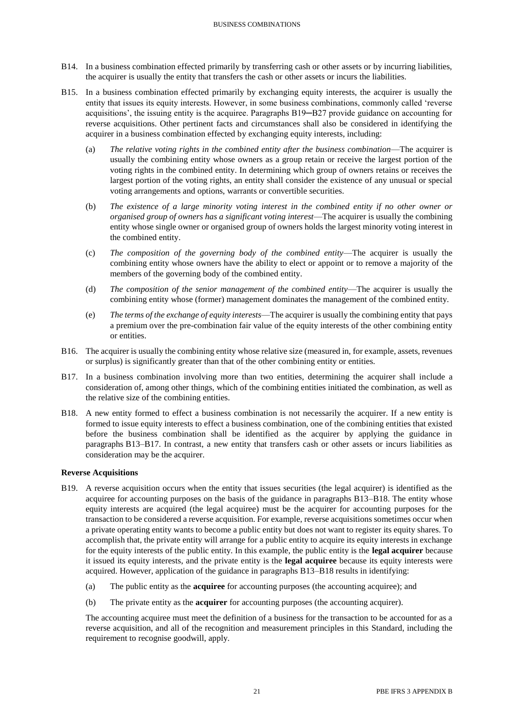- B14. In a business combination effected primarily by transferring cash or other assets or by incurring liabilities, the acquirer is usually the entity that transfers the cash or other assets or incurs the liabilities.
- B15. In a business combination effected primarily by exchanging equity interests, the acquirer is usually the entity that issues its equity interests. However, in some business combinations, commonly called 'reverse acquisitions', the issuing entity is the acquiree. Paragraphs B19─B27 provide guidance on accounting for reverse acquisitions. Other pertinent facts and circumstances shall also be considered in identifying the acquirer in a business combination effected by exchanging equity interests, including:
	- (a) *The relative voting rights in the combined entity after the business combination*—The acquirer is usually the combining entity whose owners as a group retain or receive the largest portion of the voting rights in the combined entity. In determining which group of owners retains or receives the largest portion of the voting rights, an entity shall consider the existence of any unusual or special voting arrangements and options, warrants or convertible securities.
	- (b) *The existence of a large minority voting interest in the combined entity if no other owner or organised group of owners has a significant voting interest*—The acquirer is usually the combining entity whose single owner or organised group of owners holds the largest minority voting interest in the combined entity.
	- (c) *The composition of the governing body of the combined entity*—The acquirer is usually the combining entity whose owners have the ability to elect or appoint or to remove a majority of the members of the governing body of the combined entity.
	- (d) *The composition of the senior management of the combined entity*—The acquirer is usually the combining entity whose (former) management dominates the management of the combined entity.
	- (e) *The terms of the exchange of equity interests*—The acquirer is usually the combining entity that pays a premium over the pre-combination fair value of the equity interests of the other combining entity or entities.
- B16. The acquirer is usually the combining entity whose relative size (measured in, for example, assets, revenues or surplus) is significantly greater than that of the other combining entity or entities.
- B17. In a business combination involving more than two entities, determining the acquirer shall include a consideration of, among other things, which of the combining entities initiated the combination, as well as the relative size of the combining entities.
- B18. A new entity formed to effect a business combination is not necessarily the acquirer. If a new entity is formed to issue equity interests to effect a business combination, one of the combining entities that existed before the business combination shall be identified as the acquirer by applying the guidance in paragraphs B13–B17. In contrast, a new entity that transfers cash or other assets or incurs liabilities as consideration may be the acquirer.

## **Reverse Acquisitions**

- B19. A reverse acquisition occurs when the entity that issues securities (the legal acquirer) is identified as the acquiree for accounting purposes on the basis of the guidance in paragraphs B13–B18. The entity whose equity interests are acquired (the legal acquiree) must be the acquirer for accounting purposes for the transaction to be considered a reverse acquisition. For example, reverse acquisitions sometimes occur when a private operating entity wants to become a public entity but does not want to register its equity shares. To accomplish that, the private entity will arrange for a public entity to acquire its equity interests in exchange for the equity interests of the public entity. In this example, the public entity is the **legal acquirer** because it issued its equity interests, and the private entity is the **legal acquiree** because its equity interests were acquired. However, application of the guidance in paragraphs B13–B18 results in identifying:
	- (a) The public entity as the **acquiree** for accounting purposes (the accounting acquiree); and
	- (b) The private entity as the **acquirer** for accounting purposes (the accounting acquirer).

The accounting acquiree must meet the definition of a business for the transaction to be accounted for as a reverse acquisition, and all of the recognition and measurement principles in this Standard, including the requirement to recognise goodwill, apply.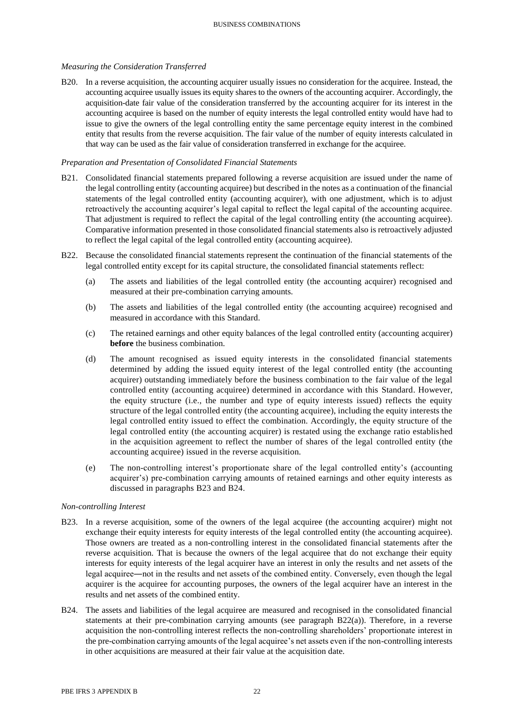#### *Measuring the Consideration Transferred*

B20. In a reverse acquisition, the accounting acquirer usually issues no consideration for the acquiree. Instead, the accounting acquiree usually issues its equity shares to the owners of the accounting acquirer. Accordingly, the acquisition-date fair value of the consideration transferred by the accounting acquirer for its interest in the accounting acquiree is based on the number of equity interests the legal controlled entity would have had to issue to give the owners of the legal controlling entity the same percentage equity interest in the combined entity that results from the reverse acquisition. The fair value of the number of equity interests calculated in that way can be used as the fair value of consideration transferred in exchange for the acquiree.

#### *Preparation and Presentation of Consolidated Financial Statements*

- B21. Consolidated financial statements prepared following a reverse acquisition are issued under the name of the legal controlling entity (accounting acquiree) but described in the notes as a continuation of the financial statements of the legal controlled entity (accounting acquirer), with one adjustment, which is to adjust retroactively the accounting acquirer's legal capital to reflect the legal capital of the accounting acquiree. That adjustment is required to reflect the capital of the legal controlling entity (the accounting acquiree). Comparative information presented in those consolidated financial statements also is retroactively adjusted to reflect the legal capital of the legal controlled entity (accounting acquiree).
- B22. Because the consolidated financial statements represent the continuation of the financial statements of the legal controlled entity except for its capital structure, the consolidated financial statements reflect:
	- (a) The assets and liabilities of the legal controlled entity (the accounting acquirer) recognised and measured at their pre-combination carrying amounts.
	- (b) The assets and liabilities of the legal controlled entity (the accounting acquiree) recognised and measured in accordance with this Standard.
	- (c) The retained earnings and other equity balances of the legal controlled entity (accounting acquirer) **before** the business combination.
	- (d) The amount recognised as issued equity interests in the consolidated financial statements determined by adding the issued equity interest of the legal controlled entity (the accounting acquirer) outstanding immediately before the business combination to the fair value of the legal controlled entity (accounting acquiree) determined in accordance with this Standard. However, the equity structure (i.e., the number and type of equity interests issued) reflects the equity structure of the legal controlled entity (the accounting acquiree), including the equity interests the legal controlled entity issued to effect the combination. Accordingly, the equity structure of the legal controlled entity (the accounting acquirer) is restated using the exchange ratio established in the acquisition agreement to reflect the number of shares of the legal controlled entity (the accounting acquiree) issued in the reverse acquisition.
	- (e) The non-controlling interest's proportionate share of the legal controlled entity's (accounting acquirer's) pre-combination carrying amounts of retained earnings and other equity interests as discussed in paragraphs B23 and B24.

## *Non-controlling Interest*

- B23. In a reverse acquisition, some of the owners of the legal acquiree (the accounting acquirer) might not exchange their equity interests for equity interests of the legal controlled entity (the accounting acquiree). Those owners are treated as a non-controlling interest in the consolidated financial statements after the reverse acquisition. That is because the owners of the legal acquiree that do not exchange their equity interests for equity interests of the legal acquirer have an interest in only the results and net assets of the legal acquiree―not in the results and net assets of the combined entity. Conversely, even though the legal acquirer is the acquiree for accounting purposes, the owners of the legal acquirer have an interest in the results and net assets of the combined entity.
- B24. The assets and liabilities of the legal acquiree are measured and recognised in the consolidated financial statements at their pre-combination carrying amounts (see paragraph B22(a)). Therefore, in a reverse acquisition the non-controlling interest reflects the non-controlling shareholders' proportionate interest in the pre-combination carrying amounts of the legal acquiree's net assets even if the non-controlling interests in other acquisitions are measured at their fair value at the acquisition date.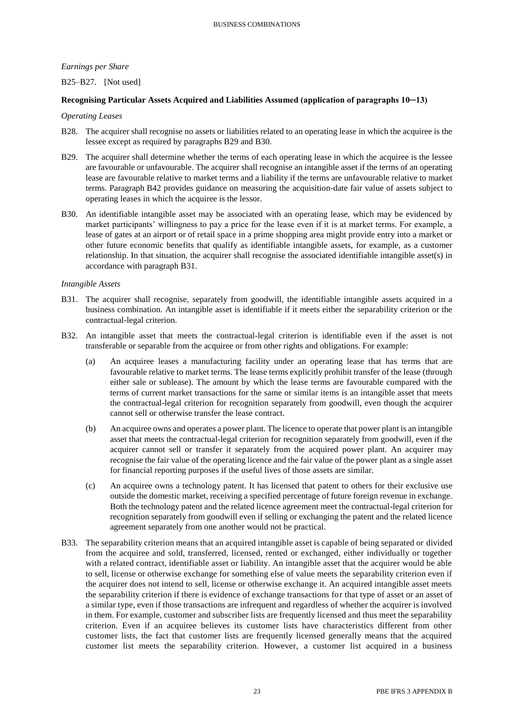## *Earnings per Share*

## B25–B27. [Not used]

#### **Recognising Particular Assets Acquired and Liabilities Assumed (application of paragraphs 10─13)**

#### *Operating Leases*

- B28. The acquirer shall recognise no assets or liabilities related to an operating lease in which the acquiree is the lessee except as required by paragraphs B29 and B30.
- B29. The acquirer shall determine whether the terms of each operating lease in which the acquiree is the lessee are favourable or unfavourable. The acquirer shall recognise an intangible asset if the terms of an operating lease are favourable relative to market terms and a liability if the terms are unfavourable relative to market terms. Paragraph B42 provides guidance on measuring the acquisition-date fair value of assets subject to operating leases in which the acquiree is the lessor.
- B30. An identifiable intangible asset may be associated with an operating lease, which may be evidenced by market participants' willingness to pay a price for the lease even if it is at market terms. For example, a lease of gates at an airport or of retail space in a prime shopping area might provide entry into a market or other future economic benefits that qualify as identifiable intangible assets, for example, as a customer relationship. In that situation, the acquirer shall recognise the associated identifiable intangible asset(s) in accordance with paragraph B31.

#### *Intangible Assets*

- B31. The acquirer shall recognise, separately from goodwill, the identifiable intangible assets acquired in a business combination. An intangible asset is identifiable if it meets either the separability criterion or the contractual-legal criterion.
- B32. An intangible asset that meets the contractual-legal criterion is identifiable even if the asset is not transferable or separable from the acquiree or from other rights and obligations. For example:
	- (a) An acquiree leases a manufacturing facility under an operating lease that has terms that are favourable relative to market terms. The lease terms explicitly prohibit transfer of the lease (through either sale or sublease). The amount by which the lease terms are favourable compared with the terms of current market transactions for the same or similar items is an intangible asset that meets the contractual-legal criterion for recognition separately from goodwill, even though the acquirer cannot sell or otherwise transfer the lease contract.
	- (b) An acquiree owns and operates a power plant. The licence to operate that power plant is an intangible asset that meets the contractual-legal criterion for recognition separately from goodwill, even if the acquirer cannot sell or transfer it separately from the acquired power plant. An acquirer may recognise the fair value of the operating licence and the fair value of the power plant as a single asset for financial reporting purposes if the useful lives of those assets are similar.
	- (c) An acquiree owns a technology patent. It has licensed that patent to others for their exclusive use outside the domestic market, receiving a specified percentage of future foreign revenue in exchange. Both the technology patent and the related licence agreement meet the contractual-legal criterion for recognition separately from goodwill even if selling or exchanging the patent and the related licence agreement separately from one another would not be practical.
- B33. The separability criterion means that an acquired intangible asset is capable of being separated or divided from the acquiree and sold, transferred, licensed, rented or exchanged, either individually or together with a related contract, identifiable asset or liability. An intangible asset that the acquirer would be able to sell, license or otherwise exchange for something else of value meets the separability criterion even if the acquirer does not intend to sell, license or otherwise exchange it. An acquired intangible asset meets the separability criterion if there is evidence of exchange transactions for that type of asset or an asset of a similar type, even if those transactions are infrequent and regardless of whether the acquirer is involved in them. For example, customer and subscriber lists are frequently licensed and thus meet the separability criterion. Even if an acquiree believes its customer lists have characteristics different from other customer lists, the fact that customer lists are frequently licensed generally means that the acquired customer list meets the separability criterion. However, a customer list acquired in a business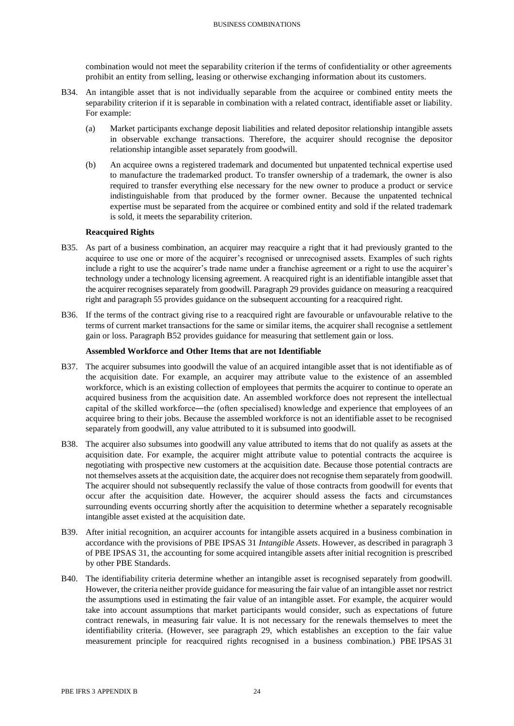combination would not meet the separability criterion if the terms of confidentiality or other agreements prohibit an entity from selling, leasing or otherwise exchanging information about its customers.

- B34. An intangible asset that is not individually separable from the acquiree or combined entity meets the separability criterion if it is separable in combination with a related contract, identifiable asset or liability. For example:
	- (a) Market participants exchange deposit liabilities and related depositor relationship intangible assets in observable exchange transactions. Therefore, the acquirer should recognise the depositor relationship intangible asset separately from goodwill.
	- (b) An acquiree owns a registered trademark and documented but unpatented technical expertise used to manufacture the trademarked product. To transfer ownership of a trademark, the owner is also required to transfer everything else necessary for the new owner to produce a product or service indistinguishable from that produced by the former owner. Because the unpatented technical expertise must be separated from the acquiree or combined entity and sold if the related trademark is sold, it meets the separability criterion.

#### **Reacquired Rights**

- B35. As part of a business combination, an acquirer may reacquire a right that it had previously granted to the acquiree to use one or more of the acquirer's recognised or unrecognised assets. Examples of such rights include a right to use the acquirer's trade name under a franchise agreement or a right to use the acquirer's technology under a technology licensing agreement. A reacquired right is an identifiable intangible asset that the acquirer recognises separately from goodwill. Paragraph 29 provides guidance on measuring a reacquired right and paragraph 55 provides guidance on the subsequent accounting for a reacquired right.
- B36. If the terms of the contract giving rise to a reacquired right are favourable or unfavourable relative to the terms of current market transactions for the same or similar items, the acquirer shall recognise a settlement gain or loss. Paragraph B52 provides guidance for measuring that settlement gain or loss.

#### **Assembled Workforce and Other Items that are not Identifiable**

- B37. The acquirer subsumes into goodwill the value of an acquired intangible asset that is not identifiable as of the acquisition date. For example, an acquirer may attribute value to the existence of an assembled workforce, which is an existing collection of employees that permits the acquirer to continue to operate an acquired business from the acquisition date. An assembled workforce does not represent the intellectual capital of the skilled workforce―the (often specialised) knowledge and experience that employees of an acquiree bring to their jobs. Because the assembled workforce is not an identifiable asset to be recognised separately from goodwill, any value attributed to it is subsumed into goodwill.
- B38. The acquirer also subsumes into goodwill any value attributed to items that do not qualify as assets at the acquisition date. For example, the acquirer might attribute value to potential contracts the acquiree is negotiating with prospective new customers at the acquisition date. Because those potential contracts are not themselves assets at the acquisition date, the acquirer does not recognise them separately from goodwill. The acquirer should not subsequently reclassify the value of those contracts from goodwill for events that occur after the acquisition date. However, the acquirer should assess the facts and circumstances surrounding events occurring shortly after the acquisition to determine whether a separately recognisable intangible asset existed at the acquisition date.
- B39. After initial recognition, an acquirer accounts for intangible assets acquired in a business combination in accordance with the provisions of PBE IPSAS 31 *Intangible Assets*. However, as described in paragraph 3 of PBE IPSAS 31, the accounting for some acquired intangible assets after initial recognition is prescribed by other PBE Standards.
- B40. The identifiability criteria determine whether an intangible asset is recognised separately from goodwill. However, the criteria neither provide guidance for measuring the fair value of an intangible asset nor restrict the assumptions used in estimating the fair value of an intangible asset. For example, the acquirer would take into account assumptions that market participants would consider, such as expectations of future contract renewals, in measuring fair value. It is not necessary for the renewals themselves to meet the identifiability criteria. (However, see paragraph 29, which establishes an exception to the fair value measurement principle for reacquired rights recognised in a business combination.) PBE IPSAS 31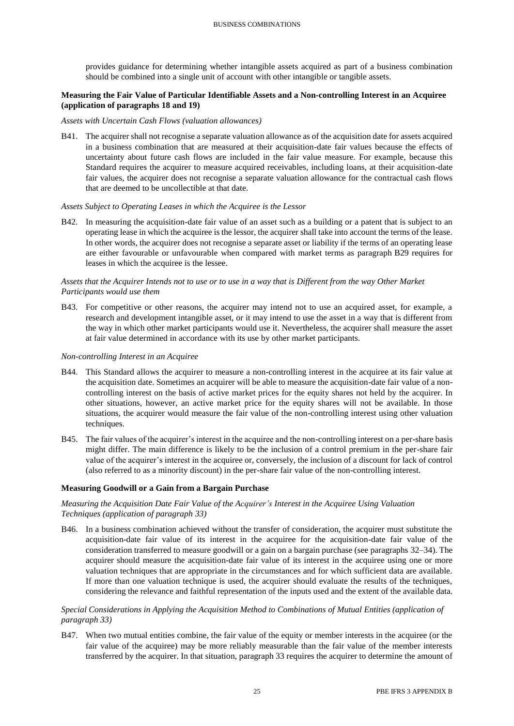provides guidance for determining whether intangible assets acquired as part of a business combination should be combined into a single unit of account with other intangible or tangible assets.

## **Measuring the Fair Value of Particular Identifiable Assets and a Non-controlling Interest in an Acquiree (application of paragraphs 18 and 19)**

#### *Assets with Uncertain Cash Flows (valuation allowances)*

B41. The acquirer shall not recognise a separate valuation allowance as of the acquisition date for assets acquired in a business combination that are measured at their acquisition-date fair values because the effects of uncertainty about future cash flows are included in the fair value measure. For example, because this Standard requires the acquirer to measure acquired receivables, including loans, at their acquisition-date fair values, the acquirer does not recognise a separate valuation allowance for the contractual cash flows that are deemed to be uncollectible at that date.

#### *Assets Subject to Operating Leases in which the Acquiree is the Lessor*

B42. In measuring the acquisition-date fair value of an asset such as a building or a patent that is subject to an operating lease in which the acquiree is the lessor, the acquirer shall take into account the terms of the lease. In other words, the acquirer does not recognise a separate asset or liability if the terms of an operating lease are either favourable or unfavourable when compared with market terms as paragraph B29 requires for leases in which the acquiree is the lessee.

#### *Assets that the Acquirer Intends not to use or to use in a way that is Different from the way Other Market Participants would use them*

B43. For competitive or other reasons, the acquirer may intend not to use an acquired asset, for example, a research and development intangible asset, or it may intend to use the asset in a way that is different from the way in which other market participants would use it. Nevertheless, the acquirer shall measure the asset at fair value determined in accordance with its use by other market participants.

#### *Non-controlling Interest in an Acquiree*

- B44. This Standard allows the acquirer to measure a non-controlling interest in the acquiree at its fair value at the acquisition date. Sometimes an acquirer will be able to measure the acquisition-date fair value of a noncontrolling interest on the basis of active market prices for the equity shares not held by the acquirer. In other situations, however, an active market price for the equity shares will not be available. In those situations, the acquirer would measure the fair value of the non-controlling interest using other valuation techniques.
- B45. The fair values of the acquirer's interest in the acquiree and the non-controlling interest on a per-share basis might differ. The main difference is likely to be the inclusion of a control premium in the per-share fair value of the acquirer's interest in the acquiree or, conversely, the inclusion of a discount for lack of control (also referred to as a minority discount) in the per-share fair value of the non-controlling interest.

#### **Measuring Goodwill or a Gain from a Bargain Purchase**

## *Measuring the Acquisition Date Fair Value of the Acquirer's Interest in the Acquiree Using Valuation Techniques (application of paragraph 33)*

B46. In a business combination achieved without the transfer of consideration, the acquirer must substitute the acquisition-date fair value of its interest in the acquiree for the acquisition-date fair value of the consideration transferred to measure goodwill or a gain on a bargain purchase (see paragraphs 32–34). The acquirer should measure the acquisition-date fair value of its interest in the acquiree using one or more valuation techniques that are appropriate in the circumstances and for which sufficient data are available. If more than one valuation technique is used, the acquirer should evaluate the results of the techniques, considering the relevance and faithful representation of the inputs used and the extent of the available data.

#### *Special Considerations in Applying the Acquisition Method to Combinations of Mutual Entities (application of paragraph 33)*

B47. When two mutual entities combine, the fair value of the equity or member interests in the acquiree (or the fair value of the acquiree) may be more reliably measurable than the fair value of the member interests transferred by the acquirer. In that situation, paragraph 33 requires the acquirer to determine the amount of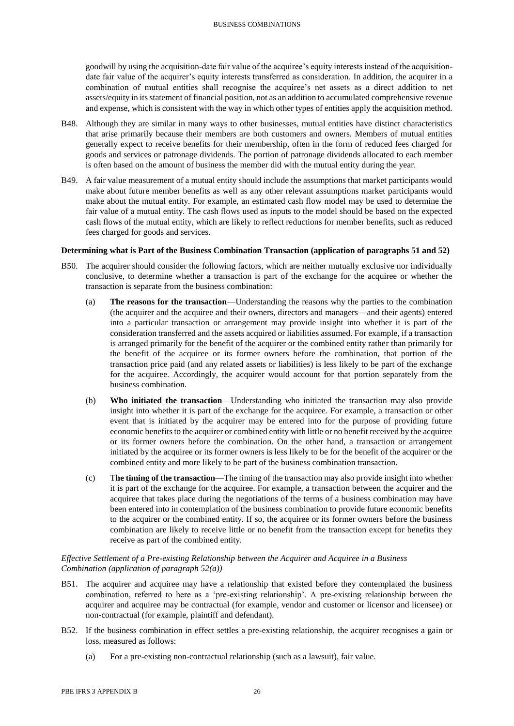goodwill by using the acquisition-date fair value of the acquiree's equity interests instead of the acquisitiondate fair value of the acquirer's equity interests transferred as consideration. In addition, the acquirer in a combination of mutual entities shall recognise the acquiree's net assets as a direct addition to net assets/equity in its statement of financial position, not as an addition to accumulated comprehensive revenue and expense, which is consistent with the way in which other types of entities apply the acquisition method.

- B48. Although they are similar in many ways to other businesses, mutual entities have distinct characteristics that arise primarily because their members are both customers and owners. Members of mutual entities generally expect to receive benefits for their membership, often in the form of reduced fees charged for goods and services or patronage dividends. The portion of patronage dividends allocated to each member is often based on the amount of business the member did with the mutual entity during the year.
- B49. A fair value measurement of a mutual entity should include the assumptions that market participants would make about future member benefits as well as any other relevant assumptions market participants would make about the mutual entity. For example, an estimated cash flow model may be used to determine the fair value of a mutual entity. The cash flows used as inputs to the model should be based on the expected cash flows of the mutual entity, which are likely to reflect reductions for member benefits, such as reduced fees charged for goods and services.

#### **Determining what is Part of the Business Combination Transaction (application of paragraphs 51 and 52)**

- B50. The acquirer should consider the following factors, which are neither mutually exclusive nor individually conclusive, to determine whether a transaction is part of the exchange for the acquiree or whether the transaction is separate from the business combination:
	- (a) **The reasons for the transaction**—Understanding the reasons why the parties to the combination (the acquirer and the acquiree and their owners, directors and managers—and their agents) entered into a particular transaction or arrangement may provide insight into whether it is part of the consideration transferred and the assets acquired or liabilities assumed. For example, if a transaction is arranged primarily for the benefit of the acquirer or the combined entity rather than primarily for the benefit of the acquiree or its former owners before the combination, that portion of the transaction price paid (and any related assets or liabilities) is less likely to be part of the exchange for the acquiree. Accordingly, the acquirer would account for that portion separately from the business combination.
	- (b) **Who initiated the transaction**—Understanding who initiated the transaction may also provide insight into whether it is part of the exchange for the acquiree. For example, a transaction or other event that is initiated by the acquirer may be entered into for the purpose of providing future economic benefits to the acquirer or combined entity with little or no benefit received by the acquiree or its former owners before the combination. On the other hand, a transaction or arrangement initiated by the acquiree or its former owners is less likely to be for the benefit of the acquirer or the combined entity and more likely to be part of the business combination transaction.
	- (c) T**he timing of the transaction**—The timing of the transaction may also provide insight into whether it is part of the exchange for the acquiree. For example, a transaction between the acquirer and the acquiree that takes place during the negotiations of the terms of a business combination may have been entered into in contemplation of the business combination to provide future economic benefits to the acquirer or the combined entity. If so, the acquiree or its former owners before the business combination are likely to receive little or no benefit from the transaction except for benefits they receive as part of the combined entity.

## *Effective Settlement of a Pre-existing Relationship between the Acquirer and Acquiree in a Business Combination (application of paragraph 52(a))*

- B51. The acquirer and acquiree may have a relationship that existed before they contemplated the business combination, referred to here as a 'pre-existing relationship'. A pre-existing relationship between the acquirer and acquiree may be contractual (for example, vendor and customer or licensor and licensee) or non-contractual (for example, plaintiff and defendant).
- B52. If the business combination in effect settles a pre-existing relationship, the acquirer recognises a gain or loss, measured as follows:
	- (a) For a pre-existing non-contractual relationship (such as a lawsuit), fair value.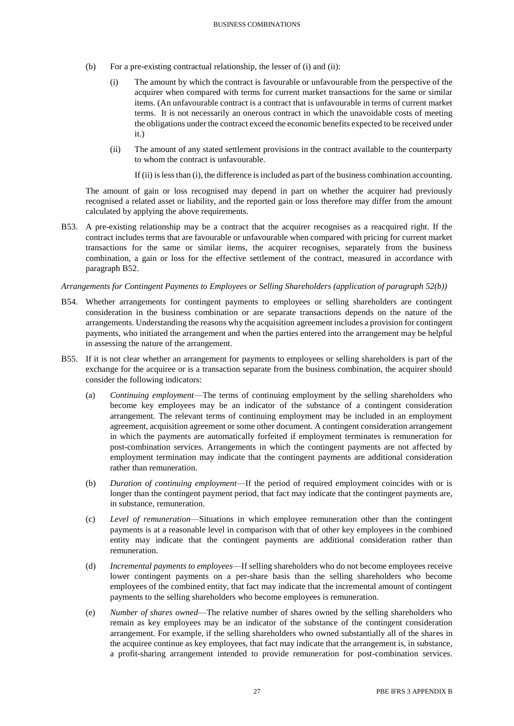- (b) For a pre-existing contractual relationship, the lesser of (i) and (ii):
	- (i) The amount by which the contract is favourable or unfavourable from the perspective of the acquirer when compared with terms for current market transactions for the same or similar items. (An unfavourable contract is a contract that is unfavourable in terms of current market terms. It is not necessarily an onerous contract in which the unavoidable costs of meeting the obligations under the contract exceed the economic benefits expected to be received under  $it$ )
	- (ii) The amount of any stated settlement provisions in the contract available to the counterparty to whom the contract is unfavourable.

If (ii) is less than (i), the difference is included as part of the business combination accounting.

The amount of gain or loss recognised may depend in part on whether the acquirer had previously recognised a related asset or liability, and the reported gain or loss therefore may differ from the amount calculated by applying the above requirements.

B53. A pre-existing relationship may be a contract that the acquirer recognises as a reacquired right. If the contract includes terms that are favourable or unfavourable when compared with pricing for current market transactions for the same or similar items, the acquirer recognises, separately from the business combination, a gain or loss for the effective settlement of the contract, measured in accordance with paragraph B52.

## *Arrangements for Contingent Payments to Employees or Selling Shareholders (application of paragraph 52(b))*

- B54. Whether arrangements for contingent payments to employees or selling shareholders are contingent consideration in the business combination or are separate transactions depends on the nature of the arrangements. Understanding the reasons why the acquisition agreement includes a provision for contingent payments, who initiated the arrangement and when the parties entered into the arrangement may be helpful in assessing the nature of the arrangement.
- B55. If it is not clear whether an arrangement for payments to employees or selling shareholders is part of the exchange for the acquiree or is a transaction separate from the business combination, the acquirer should consider the following indicators:
	- (a) *Continuing employment*—The terms of continuing employment by the selling shareholders who become key employees may be an indicator of the substance of a contingent consideration arrangement. The relevant terms of continuing employment may be included in an employment agreement, acquisition agreement or some other document. A contingent consideration arrangement in which the payments are automatically forfeited if employment terminates is remuneration for post-combination services. Arrangements in which the contingent payments are not affected by employment termination may indicate that the contingent payments are additional consideration rather than remuneration.
	- (b) *Duration of continuing employment*—If the period of required employment coincides with or is longer than the contingent payment period, that fact may indicate that the contingent payments are, in substance, remuneration.
	- (c) *Level of remuneration*—Situations in which employee remuneration other than the contingent payments is at a reasonable level in comparison with that of other key employees in the combined entity may indicate that the contingent payments are additional consideration rather than remuneration.
	- (d) *Incremental payments to employees*—If selling shareholders who do not become employees receive lower contingent payments on a per-share basis than the selling shareholders who become employees of the combined entity, that fact may indicate that the incremental amount of contingent payments to the selling shareholders who become employees is remuneration.
	- (e) *Number of shares owned*—The relative number of shares owned by the selling shareholders who remain as key employees may be an indicator of the substance of the contingent consideration arrangement. For example, if the selling shareholders who owned substantially all of the shares in the acquiree continue as key employees, that fact may indicate that the arrangement is, in substance, a profit-sharing arrangement intended to provide remuneration for post-combination services.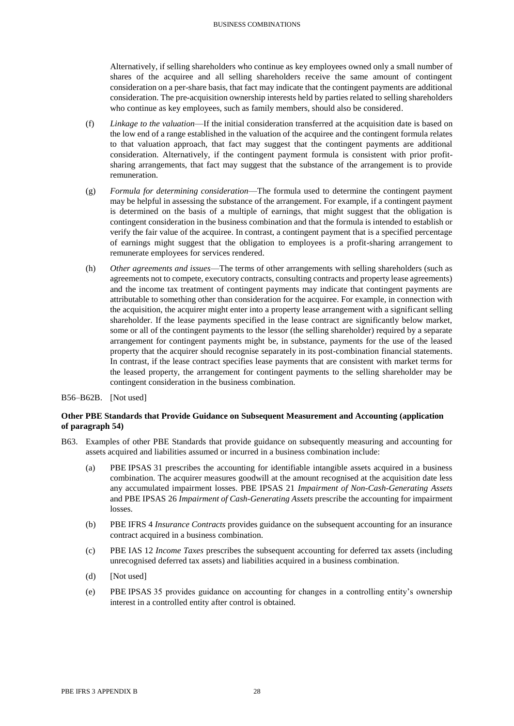Alternatively, if selling shareholders who continue as key employees owned only a small number of shares of the acquiree and all selling shareholders receive the same amount of contingent consideration on a per-share basis, that fact may indicate that the contingent payments are additional consideration. The pre-acquisition ownership interests held by parties related to selling shareholders who continue as key employees, such as family members, should also be considered.

- (f) *Linkage to the valuation*—If the initial consideration transferred at the acquisition date is based on the low end of a range established in the valuation of the acquiree and the contingent formula relates to that valuation approach, that fact may suggest that the contingent payments are additional consideration. Alternatively, if the contingent payment formula is consistent with prior profitsharing arrangements, that fact may suggest that the substance of the arrangement is to provide remuneration.
- (g) *Formula for determining consideration*—The formula used to determine the contingent payment may be helpful in assessing the substance of the arrangement. For example, if a contingent payment is determined on the basis of a multiple of earnings, that might suggest that the obligation is contingent consideration in the business combination and that the formula is intended to establish or verify the fair value of the acquiree. In contrast, a contingent payment that is a specified percentage of earnings might suggest that the obligation to employees is a profit-sharing arrangement to remunerate employees for services rendered.
- (h) *Other agreements and issues*—The terms of other arrangements with selling shareholders (such as agreements not to compete, executory contracts, consulting contracts and property lease agreements) and the income tax treatment of contingent payments may indicate that contingent payments are attributable to something other than consideration for the acquiree. For example, in connection with the acquisition, the acquirer might enter into a property lease arrangement with a significant selling shareholder. If the lease payments specified in the lease contract are significantly below market, some or all of the contingent payments to the lessor (the selling shareholder) required by a separate arrangement for contingent payments might be, in substance, payments for the use of the leased property that the acquirer should recognise separately in its post-combination financial statements. In contrast, if the lease contract specifies lease payments that are consistent with market terms for the leased property, the arrangement for contingent payments to the selling shareholder may be contingent consideration in the business combination.

B56–B62B. [Not used]

## **Other PBE Standards that Provide Guidance on Subsequent Measurement and Accounting (application of paragraph 54)**

- B63. Examples of other PBE Standards that provide guidance on subsequently measuring and accounting for assets acquired and liabilities assumed or incurred in a business combination include:
	- (a) PBE IPSAS 31 prescribes the accounting for identifiable intangible assets acquired in a business combination. The acquirer measures goodwill at the amount recognised at the acquisition date less any accumulated impairment losses. PBE IPSAS 21 *Impairment of Non-Cash-Generating Assets*  and PBE IPSAS 26 *Impairment of Cash-Generating Assets* prescribe the accounting for impairment losses.
	- (b) PBE IFRS 4 *Insurance Contracts* provides guidance on the subsequent accounting for an insurance contract acquired in a business combination.
	- (c) PBE IAS 12 *Income Taxes* prescribes the subsequent accounting for deferred tax assets (including unrecognised deferred tax assets) and liabilities acquired in a business combination.
	- (d) [Not used]
	- (e) PBE IPSAS 35 provides guidance on accounting for changes in a controlling entity's ownership interest in a controlled entity after control is obtained.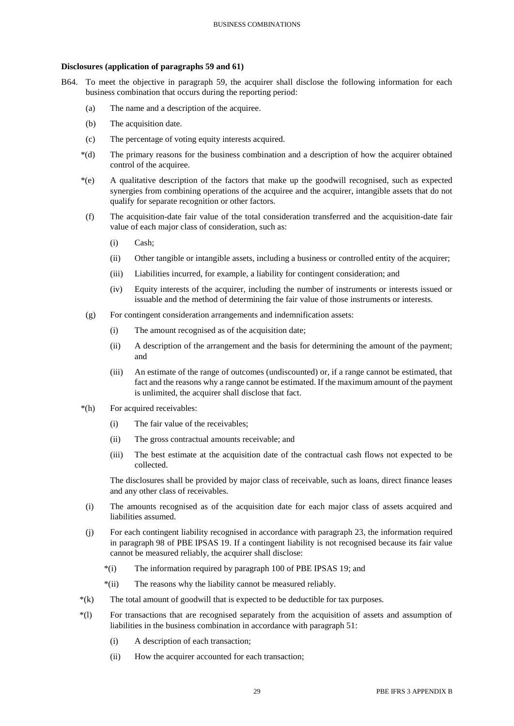#### **Disclosures (application of paragraphs 59 and 61)**

- B64. To meet the objective in paragraph 59, the acquirer shall disclose the following information for each business combination that occurs during the reporting period:
	- (a) The name and a description of the acquiree.
	- (b) The acquisition date.
	- (c) The percentage of voting equity interests acquired.
	- \*(d) The primary reasons for the business combination and a description of how the acquirer obtained control of the acquiree.
	- \*(e) A qualitative description of the factors that make up the goodwill recognised, such as expected synergies from combining operations of the acquiree and the acquirer, intangible assets that do not qualify for separate recognition or other factors.
	- (f) The acquisition-date fair value of the total consideration transferred and the acquisition-date fair value of each major class of consideration, such as:
		- (i) Cash;
		- (ii) Other tangible or intangible assets, including a business or controlled entity of the acquirer;
		- (iii) Liabilities incurred, for example, a liability for contingent consideration; and
		- (iv) Equity interests of the acquirer, including the number of instruments or interests issued or issuable and the method of determining the fair value of those instruments or interests.
	- (g) For contingent consideration arrangements and indemnification assets:
		- (i) The amount recognised as of the acquisition date;
		- (ii) A description of the arrangement and the basis for determining the amount of the payment; and
		- (iii) An estimate of the range of outcomes (undiscounted) or, if a range cannot be estimated, that fact and the reasons why a range cannot be estimated. If the maximum amount of the payment is unlimited, the acquirer shall disclose that fact.
	- \*(h) For acquired receivables:
		- (i) The fair value of the receivables;
		- (ii) The gross contractual amounts receivable; and
		- (iii) The best estimate at the acquisition date of the contractual cash flows not expected to be collected.

The disclosures shall be provided by major class of receivable, such as loans, direct finance leases and any other class of receivables.

- (i) The amounts recognised as of the acquisition date for each major class of assets acquired and liabilities assumed.
- (j) For each contingent liability recognised in accordance with paragraph 23, the information required in paragraph 98 of PBE IPSAS 19. If a contingent liability is not recognised because its fair value cannot be measured reliably, the acquirer shall disclose:
	- \*(i) The information required by paragraph 100 of PBE IPSAS 19; and
	- \*(ii) The reasons why the liability cannot be measured reliably.
- \*(k) The total amount of goodwill that is expected to be deductible for tax purposes.
- \*(l) For transactions that are recognised separately from the acquisition of assets and assumption of liabilities in the business combination in accordance with paragraph 51:
	- (i) A description of each transaction;
	- (ii) How the acquirer accounted for each transaction;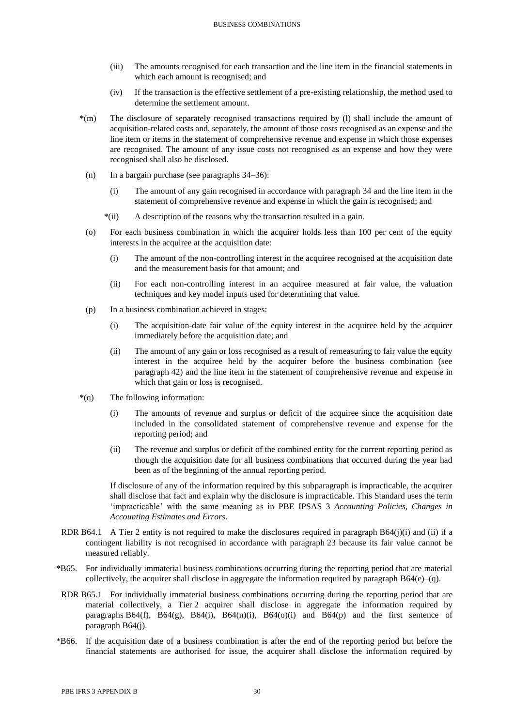- (iii) The amounts recognised for each transaction and the line item in the financial statements in which each amount is recognised; and
- (iv) If the transaction is the effective settlement of a pre-existing relationship, the method used to determine the settlement amount.
- \*(m) The disclosure of separately recognised transactions required by (l) shall include the amount of acquisition-related costs and, separately, the amount of those costs recognised as an expense and the line item or items in the statement of comprehensive revenue and expense in which those expenses are recognised. The amount of any issue costs not recognised as an expense and how they were recognised shall also be disclosed.
	- (n) In a bargain purchase (see paragraphs 34–36):
		- (i) The amount of any gain recognised in accordance with paragraph 34 and the line item in the statement of comprehensive revenue and expense in which the gain is recognised; and
		- \*(ii) A description of the reasons why the transaction resulted in a gain.
	- (o) For each business combination in which the acquirer holds less than 100 per cent of the equity interests in the acquiree at the acquisition date:
		- (i) The amount of the non-controlling interest in the acquiree recognised at the acquisition date and the measurement basis for that amount; and
		- (ii) For each non-controlling interest in an acquiree measured at fair value, the valuation techniques and key model inputs used for determining that value.
- (p) In a business combination achieved in stages:
	- (i) The acquisition-date fair value of the equity interest in the acquiree held by the acquirer immediately before the acquisition date; and
	- (ii) The amount of any gain or loss recognised as a result of remeasuring to fair value the equity interest in the acquiree held by the acquirer before the business combination (see paragraph 42) and the line item in the statement of comprehensive revenue and expense in which that gain or loss is recognised.
- \*(q) The following information:
	- (i) The amounts of revenue and surplus or deficit of the acquiree since the acquisition date included in the consolidated statement of comprehensive revenue and expense for the reporting period; and
	- (ii) The revenue and surplus or deficit of the combined entity for the current reporting period as though the acquisition date for all business combinations that occurred during the year had been as of the beginning of the annual reporting period.

If disclosure of any of the information required by this subparagraph is impracticable, the acquirer shall disclose that fact and explain why the disclosure is impracticable. This Standard uses the term 'impracticable' with the same meaning as in PBE IPSAS 3 *Accounting Policies, Changes in Accounting Estimates and Errors*.

- RDR B64.1 A Tier 2 entity is not required to make the disclosures required in paragraph B64(j)(i) and (ii) if a contingent liability is not recognised in accordance with paragraph 23 because its fair value cannot be measured reliably.
- \*B65. For individually immaterial business combinations occurring during the reporting period that are material collectively, the acquirer shall disclose in aggregate the information required by paragraph B64(e)–(q).
- RDR B65.1 For individually immaterial business combinations occurring during the reporting period that are material collectively, a Tier 2 acquirer shall disclose in aggregate the information required by paragraphs  $B64(f)$ ,  $B64(g)$ ,  $B64(i)$ ,  $B64(n)(i)$ ,  $B64(o)(i)$  and  $B64(p)$  and the first sentence of paragraph B64(j).
- \*B66. If the acquisition date of a business combination is after the end of the reporting period but before the financial statements are authorised for issue, the acquirer shall disclose the information required by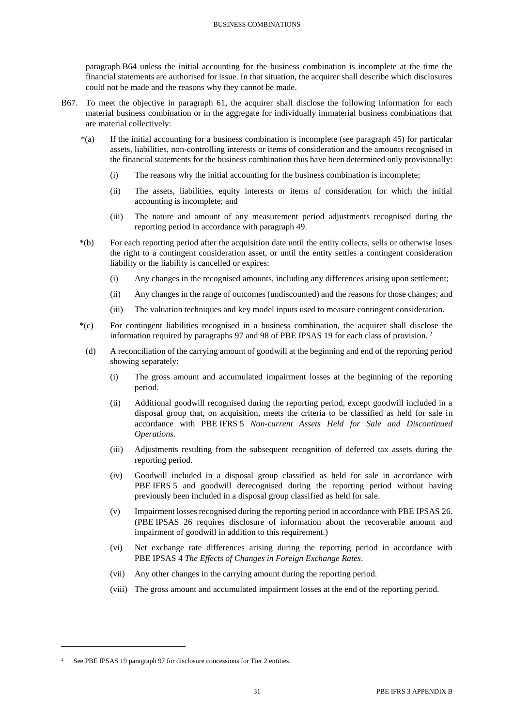paragraph B64 unless the initial accounting for the business combination is incomplete at the time the financial statements are authorised for issue. In that situation, the acquirer shall describe which disclosures could not be made and the reasons why they cannot be made.

- B67. To meet the objective in paragraph 61, the acquirer shall disclose the following information for each material business combination or in the aggregate for individually immaterial business combinations that are material collectively:
	- \*(a) If the initial accounting for a business combination is incomplete (see paragraph 45) for particular assets, liabilities, non-controlling interests or items of consideration and the amounts recognised in the financial statements for the business combination thus have been determined only provisionally:
		- (i) The reasons why the initial accounting for the business combination is incomplete;
		- (ii) The assets, liabilities, equity interests or items of consideration for which the initial accounting is incomplete; and
		- (iii) The nature and amount of any measurement period adjustments recognised during the reporting period in accordance with paragraph 49.
	- \*(b) For each reporting period after the acquisition date until the entity collects, sells or otherwise loses the right to a contingent consideration asset, or until the entity settles a contingent consideration liability or the liability is cancelled or expires:
		- (i) Any changes in the recognised amounts, including any differences arising upon settlement;
		- (ii) Any changes in the range of outcomes (undiscounted) and the reasons for those changes; and
		- (iii) The valuation techniques and key model inputs used to measure contingent consideration.
	- \*(c) For contingent liabilities recognised in a business combination, the acquirer shall disclose the information required by paragraphs 97 and 98 of PBE IPSAS 19 for each class of provision. <sup>2</sup>
	- (d) A reconciliation of the carrying amount of goodwill at the beginning and end of the reporting period showing separately:
		- (i) The gross amount and accumulated impairment losses at the beginning of the reporting period.
		- (ii) Additional goodwill recognised during the reporting period, except goodwill included in a disposal group that, on acquisition, meets the criteria to be classified as held for sale in accordance with PBE IFRS 5 *Non-current Assets Held for Sale and Discontinued Operations.*
		- (iii) Adjustments resulting from the subsequent recognition of deferred tax assets during the reporting period.
		- (iv) Goodwill included in a disposal group classified as held for sale in accordance with PBE IFRS 5 and goodwill derecognised during the reporting period without having previously been included in a disposal group classified as held for sale.
		- (v) Impairment losses recognised during the reporting period in accordance with PBE IPSAS 26. (PBE IPSAS 26 requires disclosure of information about the recoverable amount and impairment of goodwill in addition to this requirement.)
		- (vi) Net exchange rate differences arising during the reporting period in accordance with PBE IPSAS 4 *The Effects of Changes in Foreign Exchange Rates*.
		- (vii) Any other changes in the carrying amount during the reporting period.
		- (viii) The gross amount and accumulated impairment losses at the end of the reporting period.

 $\overline{a}$ 

See PBE IPSAS 19 paragraph 97 for disclosure concessions for Tier 2 entities.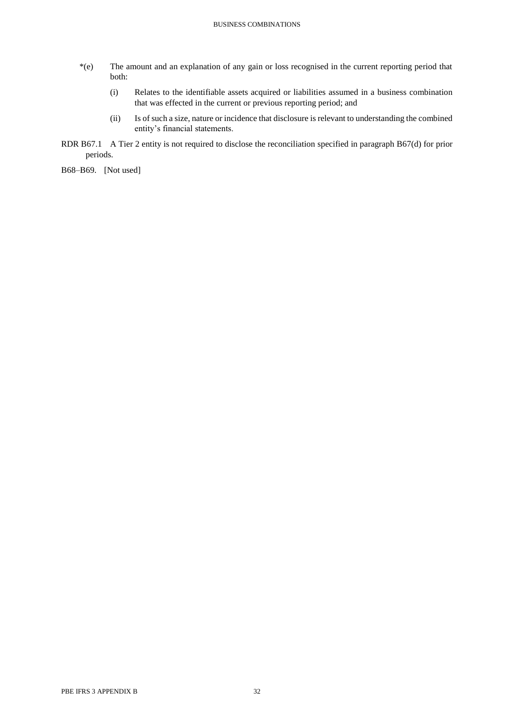- \*(e) The amount and an explanation of any gain or loss recognised in the current reporting period that both:
	- (i) Relates to the identifiable assets acquired or liabilities assumed in a business combination that was effected in the current or previous reporting period; and
	- (ii) Is of such a size, nature or incidence that disclosure is relevant to understanding the combined entity's financial statements.
- RDR B67.1 A Tier 2 entity is not required to disclose the reconciliation specified in paragraph B67(d) for prior periods.

B68–B69. [Not used]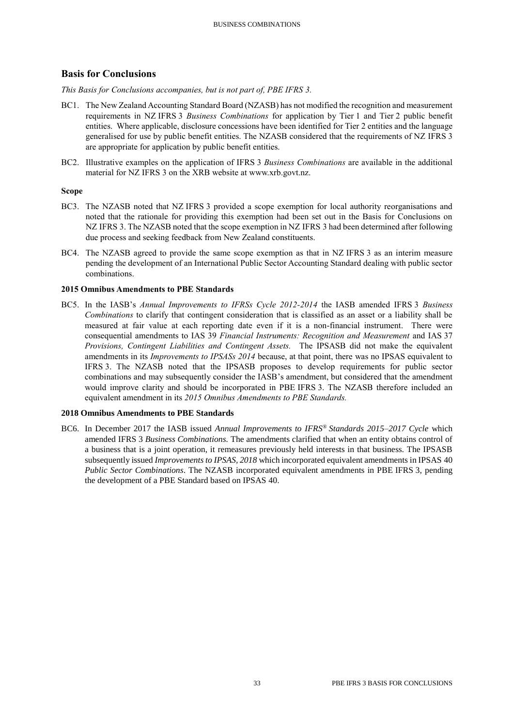## **Basis for Conclusions**

*This Basis for Conclusions accompanies, but is not part of, PBE IFRS 3.*

- BC1. The New Zealand Accounting Standard Board (NZASB) has not modified the recognition and measurement requirements in NZ IFRS 3 *Business Combinations* for application by Tier 1 and Tier 2 public benefit entities. Where applicable, disclosure concessions have been identified for Tier 2 entities and the language generalised for use by public benefit entities. The NZASB considered that the requirements of NZ IFRS 3 are appropriate for application by public benefit entities.
- BC2. Illustrative examples on the application of IFRS 3 *Business Combinations* are available in the additional material for NZ IFRS 3 on the XRB website at www.xrb.govt.nz.

#### **Scope**

- BC3. The NZASB noted that NZ IFRS 3 provided a scope exemption for local authority reorganisations and noted that the rationale for providing this exemption had been set out in the Basis for Conclusions on NZ IFRS 3. The NZASB noted that the scope exemption in NZ IFRS 3 had been determined after following due process and seeking feedback from New Zealand constituents.
- BC4. The NZASB agreed to provide the same scope exemption as that in NZ IFRS 3 as an interim measure pending the development of an International Public Sector Accounting Standard dealing with public sector combinations.

#### **2015 Omnibus Amendments to PBE Standards**

BC5. In the IASB's *Annual Improvements to IFRSs Cycle 2012-2014* the IASB amended IFRS 3 *Business Combinations* to clarify that contingent consideration that is classified as an asset or a liability shall be measured at fair value at each reporting date even if it is a non-financial instrument. There were consequential amendments to IAS 39 *Financial Instruments: Recognition and Measurement* and IAS 37 *Provisions, Contingent Liabilities and Contingent Assets.* The IPSASB did not make the equivalent amendments in its *Improvements to IPSASs 2014* because, at that point, there was no IPSAS equivalent to IFRS 3. The NZASB noted that the IPSASB proposes to develop requirements for public sector combinations and may subsequently consider the IASB's amendment, but considered that the amendment would improve clarity and should be incorporated in PBE IFRS 3. The NZASB therefore included an equivalent amendment in its *2015 Omnibus Amendments to PBE Standards.*

#### **2018 Omnibus Amendments to PBE Standards**

BC6. In December 2017 the IASB issued *Annual Improvements to IFRS® Standards 2015–2017 Cycle* which amended IFRS 3 *Business Combinations.* The amendments clarified that when an entity obtains control of a business that is a joint operation, it remeasures previously held interests in that business. The IPSASB subsequently issued *Improvements to IPSAS, 2018* which incorporated equivalent amendments in IPSAS 40 *Public Sector Combinations*. The NZASB incorporated equivalent amendments in PBE IFRS 3, pending the development of a PBE Standard based on IPSAS 40.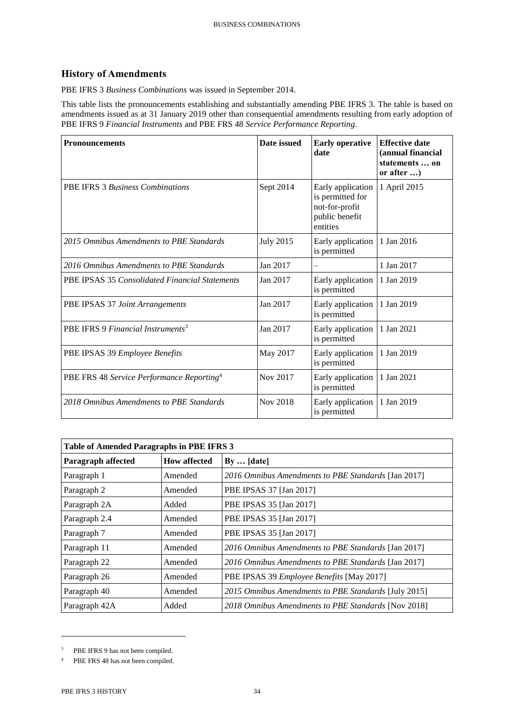## **History of Amendments**

PBE IFRS 3 *Business Combinations* was issued in September 2014.

This table lists the pronouncements establishing and substantially amending PBE IFRS 3. The table is based on amendments issued as at 31 January 2019 other than consequential amendments resulting from early adoption of PBE IFRS 9 *Financial Instruments* and PBE FRS 48 *Service Performance Reporting*.

| <b>Pronouncements</b>                                 | Date issued      | <b>Early operative</b><br>date                                                        | <b>Effective date</b><br>(annual financial<br>statements  on<br>or after ) |
|-------------------------------------------------------|------------------|---------------------------------------------------------------------------------------|----------------------------------------------------------------------------|
| PBE IFRS 3 Business Combinations                      | Sept 2014        | Early application<br>is permitted for<br>not-for-profit<br>public benefit<br>entities | 1 April 2015                                                               |
| 2015 Omnibus Amendments to PBE Standards              | <b>July 2015</b> | Early application<br>is permitted                                                     | 1 Jan 2016                                                                 |
| 2016 Omnibus Amendments to PBE Standards              | Jan 2017         |                                                                                       | 1 Jan 2017                                                                 |
| PBE IPSAS 35 Consolidated Financial Statements        | Jan 2017         | Early application<br>is permitted                                                     | 1 Jan 2019                                                                 |
| PBE IPSAS 37 Joint Arrangements                       | Jan 2017         | Early application<br>is permitted                                                     | 1 Jan 2019                                                                 |
| PBE IFRS 9 Financial Instruments <sup>3</sup>         | Jan 2017         | Early application<br>is permitted                                                     | 1 Jan 2021                                                                 |
| PBE IPSAS 39 Employee Benefits                        | May 2017         | Early application<br>is permitted                                                     | 1 Jan 2019                                                                 |
| PBE FRS 48 Service Performance Reporting <sup>4</sup> | Nov 2017         | Early application<br>is permitted                                                     | 1 Jan 2021                                                                 |
| 2018 Omnibus Amendments to PBE Standards              | Nov 2018         | Early application<br>is permitted                                                     | 1 Jan 2019                                                                 |

| Table of Amended Paragraphs in PBE IFRS 3 |                     |                                                      |  |
|-------------------------------------------|---------------------|------------------------------------------------------|--|
| Paragraph affected                        | <b>How affected</b> | $By \dots [date]$                                    |  |
| Paragraph 1                               | Amended             | 2016 Omnibus Amendments to PBE Standards [Jan 2017]  |  |
| Paragraph 2                               | Amended             | PBE IPSAS 37 [Jan 2017]                              |  |
| Paragraph 2A                              | Added               | PBE IPSAS 35 [Jan 2017]                              |  |
| Paragraph 2.4                             | Amended             | PBE IPSAS 35 [Jan 2017]                              |  |
| Paragraph 7                               | Amended             | PBE IPSAS 35 [Jan 2017]                              |  |
| Paragraph 11                              | Amended             | 2016 Omnibus Amendments to PBE Standards [Jan 2017]  |  |
| Paragraph 22                              | Amended             | 2016 Omnibus Amendments to PBE Standards [Jan 2017]  |  |
| Paragraph 26                              | Amended             | PBE IPSAS 39 <i>Employee Benefits</i> [May 2017]     |  |
| Paragraph 40                              | Amended             | 2015 Omnibus Amendments to PBE Standards [July 2015] |  |
| Paragraph 42A                             | Added               | 2018 Omnibus Amendments to PBE Standards [Nov 2018]  |  |

<sup>&</sup>lt;sup>3</sup> PBE IFRS 9 has not been compiled.

 $\overline{a}$ 

<sup>4</sup> PBE FRS 48 has not been compiled.